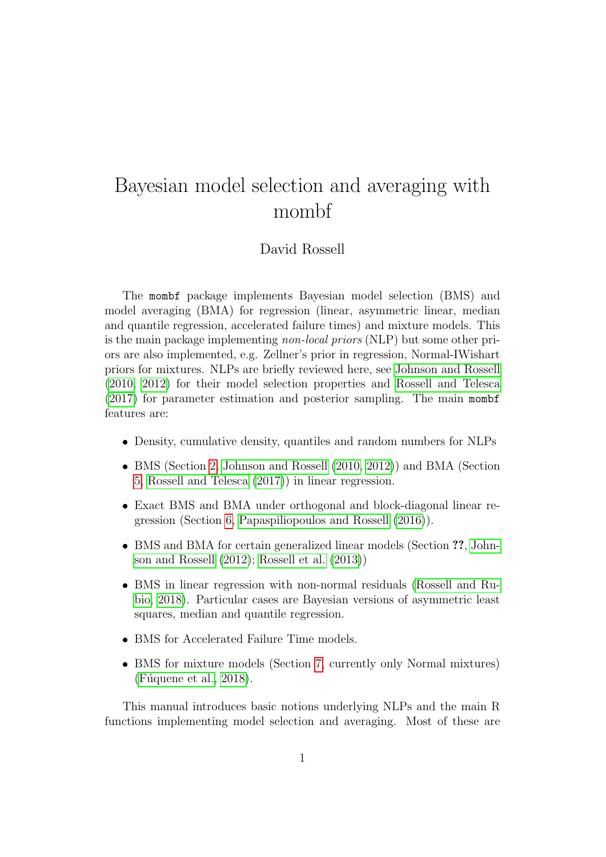# Bayesian model selection and averaging with mombf

#### David Rossell

The mombf package implements Bayesian model selection (BMS) and model averaging (BMA) for regression (linear, asymmetric linear, median and quantile regression, accelerated failure times) and mixture models. This is the main package implementing non-local priors (NLP) but some other priors are also implemented, e.g. Zellner's prior in regression, Normal-IWishart priors for mixtures. NLPs are briefly reviewed here, see [Johnson and Rossell](#page-26-0) [\(2010,](#page-26-0) [2012\)](#page-26-1) for their model selection properties and [Rossell and Telesca](#page-26-2) [\(2017\)](#page-26-2) for parameter estimation and posterior sampling. The main mombf features are:

- Density, cumulative density, quantiles and random numbers for NLPs
- BMS (Section [2,](#page-2-0) [Johnson and Rossell \(2010,](#page-26-0) [2012\)](#page-26-1)) and BMA (Section [5,](#page-16-0) [Rossell and Telesca \(2017\)](#page-26-2)) in linear regression.
- Exact BMS and BMA under orthogonal and block-diagonal linear regression (Section [6,](#page-18-0) [Papaspiliopoulos and Rossell \(2016\)](#page-26-3)).
- BMS and BMA for certain generalized linear models (Section ??, [John](#page-26-1)[son and Rossell \(2012\)](#page-26-1); [Rossell et al. \(2013\)](#page-26-4))
- BMS in linear regression with non-normal residuals [\(Rossell and Ru](#page-26-5)[bio, 2018\)](#page-26-5). Particular cases are Bayesian versions of asymmetric least squares, median and quantile regression.
- BMS for Accelerated Failure Time models.
- BMS for mixture models (Section [7,](#page-22-0) currently only Normal mixtures)  $(Fuquene et al., 2018).$

This manual introduces basic notions underlying NLPs and the main R functions implementing model selection and averaging. Most of these are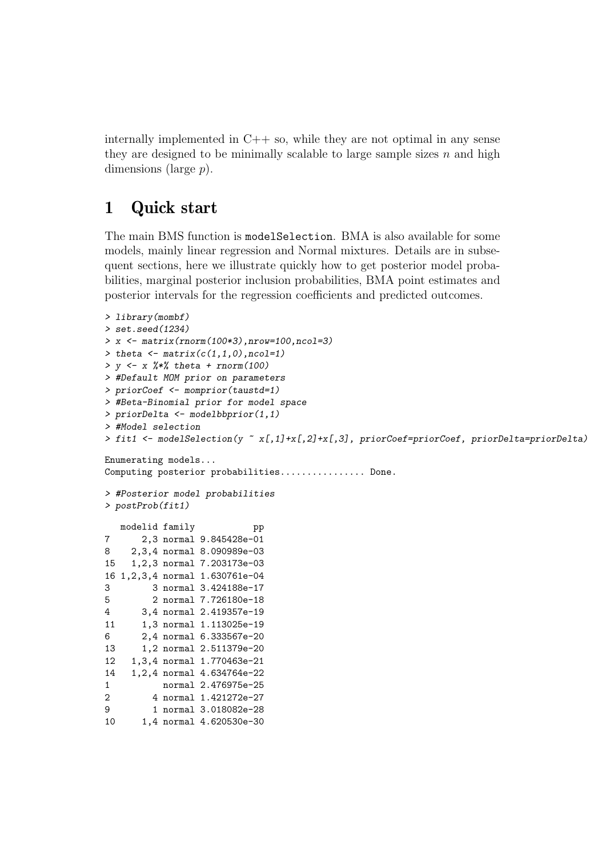internally implemented in  $C++$  so, while they are not optimal in any sense they are designed to be minimally scalable to large sample sizes  $n$  and high dimensions (large p).

### 1 Quick start

The main BMS function is modelSelection. BMA is also available for some models, mainly linear regression and Normal mixtures. Details are in subsequent sections, here we illustrate quickly how to get posterior model probabilities, marginal posterior inclusion probabilities, BMA point estimates and posterior intervals for the regression coefficients and predicted outcomes.

```
> library(mombf)
> set.seed(1234)
> x <- matrix(rnorm(100*3),nrow=100,ncol=3)
> theta \leftarrow matrix(c(1,1,0), ncol=1)
> v \leq x %*% theta + rnorm(100)
> #Default MOM prior on parameters
> priorCoef <- momprior(taustd=1)
> #Beta-Binomial prior for model space
> priorDelta <- modelbbprior(1,1)
> #Model selection
> fit1 <- modelSelection(y ~ x[,1]+x[,2]+x[,3], priorCoef=priorCoef, priorDelta=priorDelta)
Enumerating models...
Computing posterior probabilities................ Done.
> #Posterior model probabilities
> postProb(fit1)
  modelid family pp
7 2,3 normal 9.845428e-01
8 2,3,4 normal 8.090989e-03
15 1,2,3 normal 7.203173e-03
16 1,2,3,4 normal 1.630761e-04
3 3 normal 3.424188e-17
5 2 normal 7.726180e-18
4 3,4 normal 2.419357e-19
11 1,3 normal 1.113025e-19
6 2,4 normal 6.333567e-20
13 1,2 normal 2.511379e-20
12 1,3,4 normal 1.770463e-21
14 1,2,4 normal 4.634764e-22
1 normal 2.476975e-25
2 4 normal 1.421272e-27
9 1 normal 3.018082e-28
```

```
10 1,4 normal 4.620530e-30
```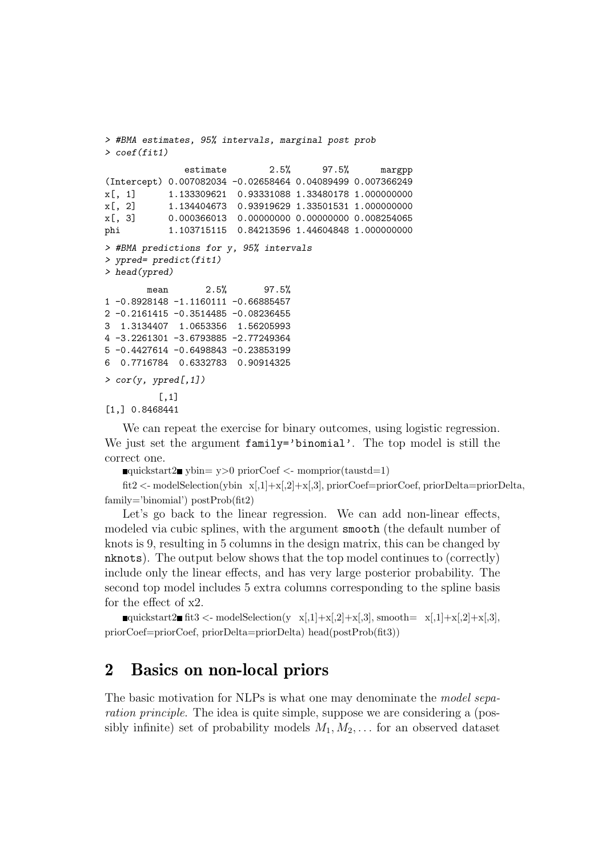```
> #BMA estimates, 95% intervals, marginal post prob
> coef(fit1)
              estimate 2.5% 97.5% margpp
(Intercept) 0.007082034 -0.02658464 0.04089499 0.007366249
x[, 1] 1.133309621 0.93331088 1.33480178 1.000000000
x[, 2] 1.134404673 0.93919629 1.33501531 1.000000000
x[, 3] 0.000366013 0.00000000 0.00000000 0.008254065
phi 1.103715115 0.84213596 1.44604848 1.000000000
> #BMA predictions for y, 95% intervals
> ypred= predict(fit1)
> head(ypred)
       mean 2.5% 97.5%
1 -0.8928148 -1.1160111 -0.66885457
2 -0.2161415 -0.3514485 -0.08236455
3 1.3134407 1.0653356 1.56205993
4 -3.2261301 -3.6793885 -2.77249364
5 -0.4427614 -0.6498843 -0.23853199
6 0.7716784 0.6332783 0.90914325
> cor(y, ypred[, 1])\lceil, 1]
[1,] 0.8468441
```
We can repeat the exercise for binary outcomes, using logistic regression. We just set the argument family='binomial'. The top model is still the correct one.

 $\Box$ quickstart2 $\Box$  ybin= y>0 priorCoef <- momprior(taustd=1)

fit2 <- modelSelection(ybin x[,1]+x[,2]+x[,3], priorCoef=priorCoef, priorDelta=priorDelta, family='binomial') postProb(fit2)

Let's go back to the linear regression. We can add non-linear effects, modeled via cubic splines, with the argument smooth (the default number of knots is 9, resulting in 5 columns in the design matrix, this can be changed by nknots). The output below shows that the top model continues to (correctly) include only the linear effects, and has very large posterior probability. The second top model includes 5 extra columns corresponding to the spline basis for the effect of x2.

quickstart2  $\text{fit3} < \text{modelSelection}(y \ x[, 1] + x[, 2] + x[, 3]$ , smooth=  $x[, 1] + x[, 2] + x[, 3]$ , priorCoef=priorCoef, priorDelta=priorDelta) head(postProb(fit3))

### <span id="page-2-0"></span>2 Basics on non-local priors

The basic motivation for NLPs is what one may denominate the *model sepa*ration principle. The idea is quite simple, suppose we are considering a (possibly infinite) set of probability models  $M_1, M_2, \ldots$  for an observed dataset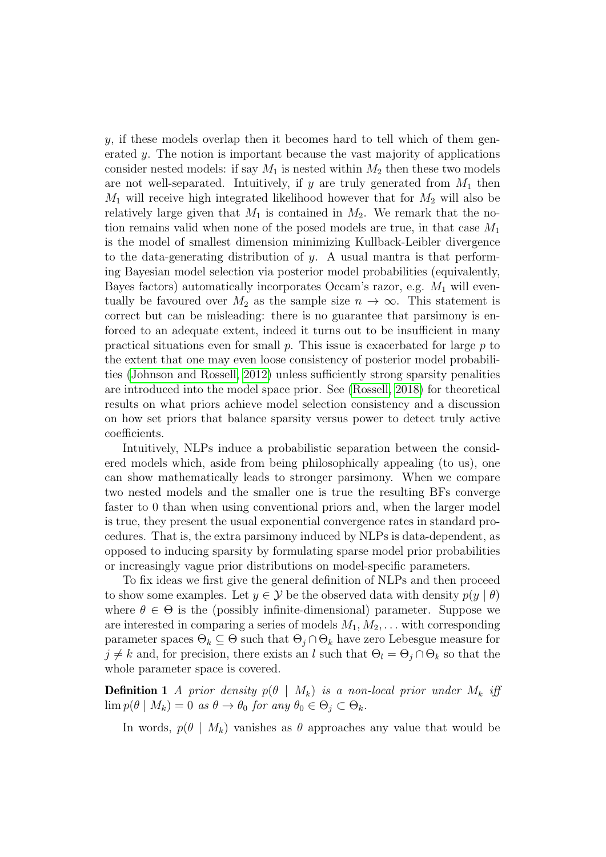$y$ , if these models overlap then it becomes hard to tell which of them generated y. The notion is important because the vast majority of applications consider nested models: if say  $M_1$  is nested within  $M_2$  then these two models are not well-separated. Intuitively, if y are truly generated from  $M_1$  then  $M_1$  will receive high integrated likelihood however that for  $M_2$  will also be relatively large given that  $M_1$  is contained in  $M_2$ . We remark that the notion remains valid when none of the posed models are true, in that case  $M_1$ is the model of smallest dimension minimizing Kullback-Leibler divergence to the data-generating distribution of  $y$ . A usual mantra is that performing Bayesian model selection via posterior model probabilities (equivalently, Bayes factors) automatically incorporates Occam's razor, e.g.  $M_1$  will eventually be favoured over  $M_2$  as the sample size  $n \to \infty$ . This statement is correct but can be misleading: there is no guarantee that parsimony is enforced to an adequate extent, indeed it turns out to be insufficient in many practical situations even for small  $p$ . This issue is exacerbated for large  $p$  to the extent that one may even loose consistency of posterior model probabilities [\(Johnson and Rossell, 2012\)](#page-26-1) unless sufficiently strong sparsity penalities are introduced into the model space prior. See [\(Rossell, 2018\)](#page-26-6) for theoretical results on what priors achieve model selection consistency and a discussion on how set priors that balance sparsity versus power to detect truly active coefficients.

Intuitively, NLPs induce a probabilistic separation between the considered models which, aside from being philosophically appealing (to us), one can show mathematically leads to stronger parsimony. When we compare two nested models and the smaller one is true the resulting BFs converge faster to 0 than when using conventional priors and, when the larger model is true, they present the usual exponential convergence rates in standard procedures. That is, the extra parsimony induced by NLPs is data-dependent, as opposed to inducing sparsity by formulating sparse model prior probabilities or increasingly vague prior distributions on model-specific parameters.

To fix ideas we first give the general definition of NLPs and then proceed to show some examples. Let  $y \in \mathcal{Y}$  be the observed data with density  $p(y | \theta)$ where  $\theta \in \Theta$  is the (possibly infinite-dimensional) parameter. Suppose we are interested in comparing a series of models  $M_1, M_2, \ldots$  with corresponding parameter spaces  $\Theta_k \subseteq \Theta$  such that  $\Theta_i \cap \Theta_k$  have zero Lebesgue measure for  $j \neq k$  and, for precision, there exists an l such that  $\Theta_l = \Theta_j \cap \Theta_k$  so that the whole parameter space is covered.

**Definition 1** A prior density  $p(\theta | M_k)$  is a non-local prior under  $M_k$  iff  $\lim p(\theta \mid M_k) = 0$  as  $\theta \to \theta_0$  for any  $\theta_0 \in \Theta_i \subset \Theta_k$ .

<span id="page-3-0"></span>In words,  $p(\theta | M_k)$  vanishes as  $\theta$  approaches any value that would be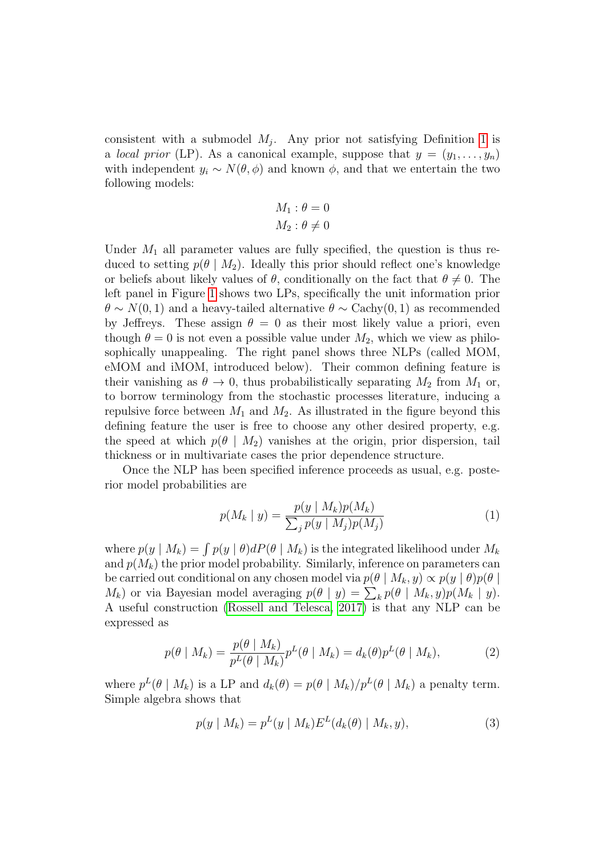consistent with a submodel  $M_j$ . Any prior not satisfying Definition [1](#page-3-0) is a *local prior* (LP). As a canonical example, suppose that  $y = (y_1, \ldots, y_n)$ with independent  $y_i \sim N(\theta, \phi)$  and known  $\phi$ , and that we entertain the two following models:

$$
M_1: \theta = 0
$$

$$
M_2: \theta \neq 0
$$

Under  $M_1$  all parameter values are fully specified, the question is thus reduced to setting  $p(\theta | M_2)$ . Ideally this prior should reflect one's knowledge or beliefs about likely values of  $\theta$ , conditionally on the fact that  $\theta \neq 0$ . The left panel in Figure [1](#page-9-0) shows two LPs, specifically the unit information prior  $\theta \sim N(0, 1)$  and a heavy-tailed alternative  $\theta \sim \text{Cachy}(0, 1)$  as recommended by Jeffreys. These assign  $\theta = 0$  as their most likely value a priori, even though  $\theta = 0$  is not even a possible value under  $M_2$ , which we view as philosophically unappealing. The right panel shows three NLPs (called MOM, eMOM and iMOM, introduced below). Their common defining feature is their vanishing as  $\theta \to 0$ , thus probabilistically separating  $M_2$  from  $M_1$  or, to borrow terminology from the stochastic processes literature, inducing a repulsive force between  $M_1$  and  $M_2$ . As illustrated in the figure beyond this defining feature the user is free to choose any other desired property, e.g. the speed at which  $p(\theta | M_2)$  vanishes at the origin, prior dispersion, tail thickness or in multivariate cases the prior dependence structure.

Once the NLP has been specified inference proceeds as usual, e.g. posterior model probabilities are

$$
p(M_k | y) = \frac{p(y | M_k)p(M_k)}{\sum_j p(y | M_j)p(M_j)}
$$
(1)

where  $p(y | M_k) = \int p(y | \theta) dP(\theta | M_k)$  is the integrated likelihood under  $M_k$ and  $p(M_k)$  the prior model probability. Similarly, inference on parameters can be carried out conditional on any chosen model via  $p(\theta | M_k, y) \propto p(y | \theta)p(\theta |$  $M_k$ ) or via Bayesian model averaging  $p(\theta | y) = \sum_k p(\theta | M_k, y)p(M_k | y)$ . A useful construction [\(Rossell and Telesca, 2017\)](#page-26-2) is that any NLP can be expressed as

$$
p(\theta \mid M_k) = \frac{p(\theta \mid M_k)}{p^L(\theta \mid M_k)} p^L(\theta \mid M_k) = d_k(\theta) p^L(\theta \mid M_k), \tag{2}
$$

where  $p^{L}(\theta | M_{k})$  is a LP and  $d_{k}(\theta) = p(\theta | M_{k})/p^{L}(\theta | M_{k})$  a penalty term. Simple algebra shows that

<span id="page-4-0"></span>
$$
p(y \mid M_k) = p^{L}(y \mid M_k) E^{L}(d_k(\theta) \mid M_k, y), \tag{3}
$$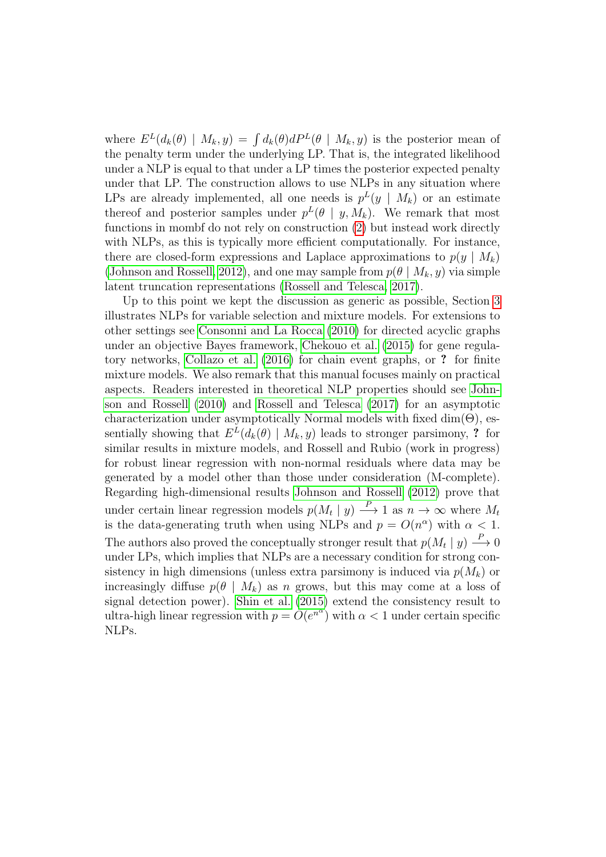where  $E^{L}(d_{k}(\theta) | M_{k}, y) = \int d_{k}(\theta) dP^{L}(\theta | M_{k}, y)$  is the posterior mean of the penalty term under the underlying LP. That is, the integrated likelihood under a NLP is equal to that under a LP times the posterior expected penalty under that LP. The construction allows to use NLPs in any situation where LPs are already implemented, all one needs is  $p^{L}(y \mid M_k)$  or an estimate thereof and posterior samples under  $p^{L}(\theta | y, M_k)$ . We remark that most functions in mombf do not rely on construction [\(2\)](#page-4-0) but instead work directly with NLPs, as this is typically more efficient computationally. For instance, there are closed-form expressions and Laplace approximations to  $p(y \mid M_k)$ [\(Johnson and Rossell, 2012\)](#page-26-1), and one may sample from  $p(\theta | M_k, y)$  via simple latent truncation representations [\(Rossell and Telesca, 2017\)](#page-26-2).

Up to this point we kept the discussion as generic as possible, Section [3](#page-6-0) illustrates NLPs for variable selection and mixture models. For extensions to other settings see [Consonni and La Rocca \(2010\)](#page-25-1) for directed acyclic graphs under an objective Bayes framework, [Chekouo et al. \(2015\)](#page-25-2) for gene regulatory networks, [Collazo et al. \(2016\)](#page-25-3) for chain event graphs, or ? for finite mixture models. We also remark that this manual focuses mainly on practical aspects. Readers interested in theoretical NLP properties should see [John](#page-26-0)[son and Rossell \(2010\)](#page-26-0) and [Rossell and Telesca \(2017\)](#page-26-2) for an asymptotic characterization under asymptotically Normal models with fixed  $\dim(\Theta)$ , essentially showing that  $E<sup>L</sup>(d_k(\theta) | M_k, y)$  leads to stronger parsimony, ? for similar results in mixture models, and Rossell and Rubio (work in progress) for robust linear regression with non-normal residuals where data may be generated by a model other than those under consideration (M-complete). Regarding high-dimensional results [Johnson and Rossell \(2012\)](#page-26-1) prove that under certain linear regression models  $p(M_t | y) \longrightarrow 1$  as  $n \to \infty$  where  $M_t$ is the data-generating truth when using NLPs and  $p = O(n^{\alpha})$  with  $\alpha < 1$ . The authors also proved the conceptually stronger result that  $p(M_t | y) \stackrel{P}{\longrightarrow} 0$ under LPs, which implies that NLPs are a necessary condition for strong consistency in high dimensions (unless extra parsimony is induced via  $p(M_k)$  or increasingly diffuse  $p(\theta | M_k)$  as n grows, but this may come at a loss of signal detection power). [Shin et al. \(2015\)](#page-26-7) extend the consistency result to ultra-high linear regression with  $p = O(e^{n^{\alpha}})$  with  $\alpha < 1$  under certain specific NLPs.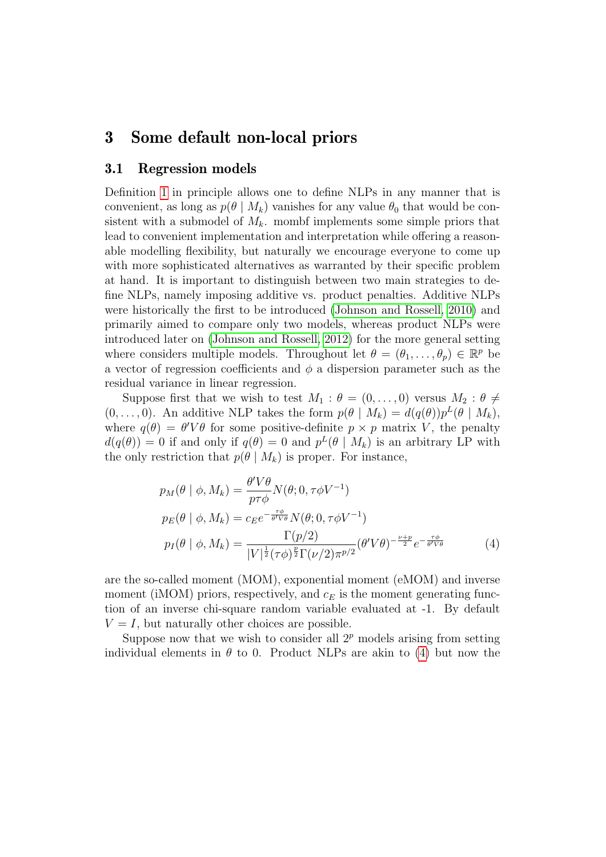### <span id="page-6-0"></span>3 Some default non-local priors

#### 3.1 Regression models

Definition [1](#page-3-0) in principle allows one to define NLPs in any manner that is convenient, as long as  $p(\theta | M_k)$  vanishes for any value  $\theta_0$  that would be consistent with a submodel of  $M_k$ . mombf implements some simple priors that lead to convenient implementation and interpretation while offering a reasonable modelling flexibility, but naturally we encourage everyone to come up with more sophisticated alternatives as warranted by their specific problem at hand. It is important to distinguish between two main strategies to define NLPs, namely imposing additive vs. product penalties. Additive NLPs were historically the first to be introduced [\(Johnson and Rossell, 2010\)](#page-26-0) and primarily aimed to compare only two models, whereas product NLPs were introduced later on [\(Johnson and Rossell, 2012\)](#page-26-1) for the more general setting where considers multiple models. Throughout let  $\theta = (\theta_1, \dots, \theta_p) \in \mathbb{R}^p$  be a vector of regression coefficients and  $\phi$  a dispersion parameter such as the residual variance in linear regression.

Suppose first that we wish to test  $M_1 : \theta = (0, \ldots, 0)$  versus  $M_2 : \theta \neq$  $(0, \ldots, 0)$ . An additive NLP takes the form  $p(\theta | M_k) = d(q(\theta))p^{L}(\theta | M_k)$ , where  $q(\theta) = \theta' V \theta$  for some positive-definite  $p \times p$  matrix V, the penalty  $d(q(\theta)) = 0$  if and only if  $q(\theta) = 0$  and  $p^L(\theta | M_k)$  is an arbitrary LP with the only restriction that  $p(\theta | M_k)$  is proper. For instance,

<span id="page-6-1"></span>
$$
p_M(\theta \mid \phi, M_k) = \frac{\theta' V \theta}{p \tau \phi} N(\theta; 0, \tau \phi V^{-1})
$$
  
\n
$$
p_E(\theta \mid \phi, M_k) = c_E e^{-\frac{\tau \phi}{\theta' V \theta}} N(\theta; 0, \tau \phi V^{-1})
$$
  
\n
$$
p_I(\theta \mid \phi, M_k) = \frac{\Gamma(p/2)}{|V|^{\frac{1}{2}} (\tau \phi)^{\frac{p}{2}} \Gamma(\nu/2) \pi^{p/2}} (\theta' V \theta)^{-\frac{\nu + p}{2}} e^{-\frac{\tau \phi}{\theta' V \theta}}
$$
(4)

are the so-called moment (MOM), exponential moment (eMOM) and inverse moment (iMOM) priors, respectively, and  $c_E$  is the moment generating function of an inverse chi-square random variable evaluated at -1. By default  $V = I$ , but naturally other choices are possible.

Suppose now that we wish to consider all  $2^p$  models arising from setting individual elements in  $\theta$  to 0. Product NLPs are akin to [\(4\)](#page-6-1) but now the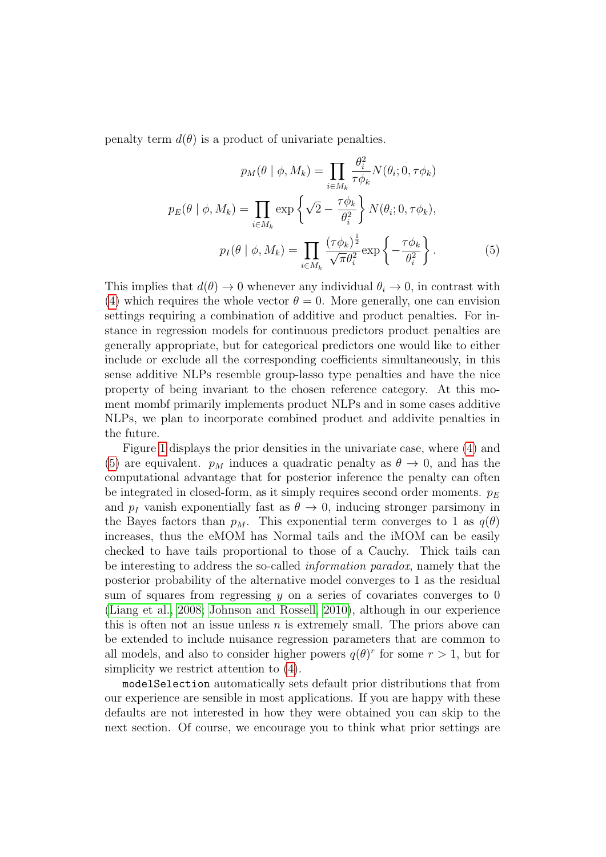penalty term  $d(\theta)$  is a product of univariate penalties.

<span id="page-7-0"></span>
$$
p_M(\theta \mid \phi, M_k) = \prod_{i \in M_k} \frac{\theta_i^2}{\tau \phi_k} N(\theta_i; 0, \tau \phi_k)
$$

$$
p_E(\theta \mid \phi, M_k) = \prod_{i \in M_k} \exp\left\{\sqrt{2} - \frac{\tau \phi_k}{\theta_i^2}\right\} N(\theta_i; 0, \tau \phi_k),
$$

$$
p_I(\theta \mid \phi, M_k) = \prod_{i \in M_k} \frac{(\tau \phi_k)^{\frac{1}{2}}}{\sqrt{\pi} \theta_i^2} \exp\left\{-\frac{\tau \phi_k}{\theta_i^2}\right\}.
$$
(5)

This implies that  $d(\theta) \to 0$  whenever any individual  $\theta_i \to 0$ , in contrast with [\(4\)](#page-6-1) which requires the whole vector  $\theta = 0$ . More generally, one can envision settings requiring a combination of additive and product penalties. For instance in regression models for continuous predictors product penalties are generally appropriate, but for categorical predictors one would like to either include or exclude all the corresponding coefficients simultaneously, in this sense additive NLPs resemble group-lasso type penalties and have the nice property of being invariant to the chosen reference category. At this moment mombf primarily implements product NLPs and in some cases additive NLPs, we plan to incorporate combined product and addivite penalties in the future.

Figure [1](#page-9-0) displays the prior densities in the univariate case, where [\(4\)](#page-6-1) and [\(5\)](#page-7-0) are equivalent.  $p_M$  induces a quadratic penalty as  $\theta \to 0$ , and has the computational advantage that for posterior inference the penalty can often be integrated in closed-form, as it simply requires second order moments.  $p_E$ and  $p_I$  vanish exponentially fast as  $\theta \to 0$ , inducing stronger parsimony in the Bayes factors than  $p_M$ . This exponential term converges to 1 as  $q(\theta)$ increases, thus the eMOM has Normal tails and the iMOM can be easily checked to have tails proportional to those of a Cauchy. Thick tails can be interesting to address the so-called information paradox, namely that the posterior probability of the alternative model converges to 1 as the residual sum of squares from regressing  $y$  on a series of covariates converges to 0 [\(Liang et al., 2008;](#page-26-8) [Johnson and Rossell, 2010\)](#page-26-0), although in our experience this is often not an issue unless  $n$  is extremely small. The priors above can be extended to include nuisance regression parameters that are common to all models, and also to consider higher powers  $q(\theta)^r$  for some  $r > 1$ , but for simplicity we restrict attention to [\(4\)](#page-6-1).

modelSelection automatically sets default prior distributions that from our experience are sensible in most applications. If you are happy with these defaults are not interested in how they were obtained you can skip to the next section. Of course, we encourage you to think what prior settings are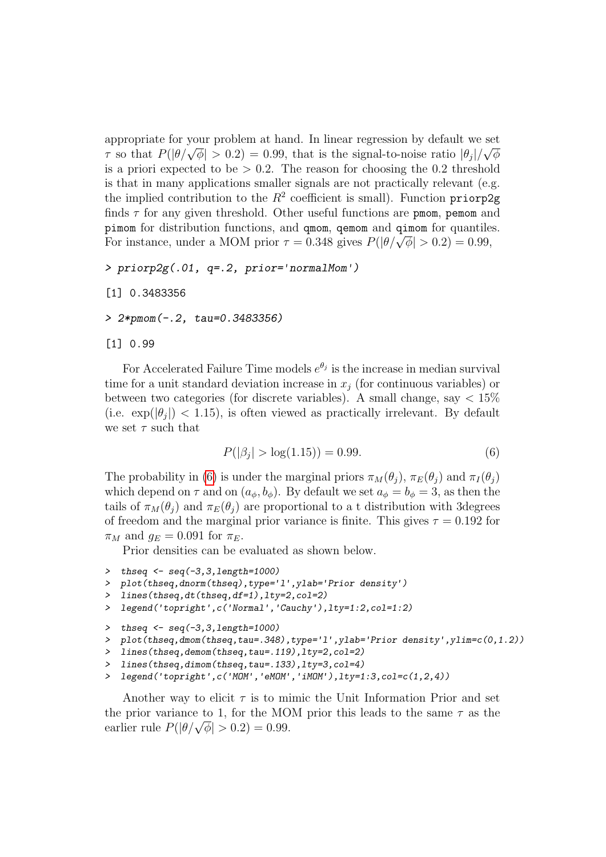appropriate for your problem at hand. In linear regression by default we set appropriate for your problem at hand. In linear regression by detail we set  $\tau$  so that  $P(|\theta/\sqrt{\phi}| > 0.2) = 0.99$ , that is the signal-to-noise ratio  $|\theta_j|/\sqrt{\phi}$ is a priori expected to be  $> 0.2$ . The reason for choosing the 0.2 threshold is that in many applications smaller signals are not practically relevant (e.g. the implied contribution to the  $R^2$  coefficient is small). Function priorp2g finds  $\tau$  for any given threshold. Other useful functions are pmom, pemom and pimom for distribution functions, and qmom, qemom and qimom for quantiles. From for distribution functions, and quom, quality and quality for quantities For instance, under a MOM prior  $\tau = 0.348$  gives  $P(|\theta/\sqrt{\phi}| > 0.2) = 0.99$ ,

```
> priorp2g(.01, q=.2, prior='normalMom')
```

```
[1] 0.3483356
```
> 2\*pmom(-.2, tau=0.3483356)

```
[1] 0.99
```
For Accelerated Failure Time models  $e^{\theta_j}$  is the increase in median survival time for a unit standard deviation increase in  $x_i$  (for continuous variables) or between two categories (for discrete variables). A small change, say  $< 15\%$ (i.e.  $\exp(\left|\theta_j\right|)$  < 1.15), is often viewed as practically irrelevant. By default we set  $\tau$  such that

<span id="page-8-0"></span>
$$
P(|\beta_j| > \log(1.15)) = 0.99.
$$
 (6)

The probability in [\(6\)](#page-8-0) is under the marginal priors  $\pi_M(\theta_i)$ ,  $\pi_E(\theta_i)$  and  $\pi_I(\theta_i)$ which depend on  $\tau$  and on  $(a_{\phi}, b_{\phi})$ . By default we set  $a_{\phi} = b_{\phi} = 3$ , as then the tails of  $\pi_M(\theta_i)$  and  $\pi_E(\theta_i)$  are proportional to a t distribution with 3degrees of freedom and the marginal prior variance is finite. This gives  $\tau = 0.192$  for  $\pi_M$  and  $q_E = 0.091$  for  $\pi_E$ .

Prior densities can be evaluated as shown below.

```
> thseq <- seq(-3,3,length=1000)
> plot(thseq,dnorm(thseq),type='l',ylab='Prior density')
> lines(thseq,dt(thseq,df=1),lty=2,col=2)
> legend('topright',c('Normal','Cauchy'),lty=1:2,col=1:2)
> thseq \leq seq(-3,3,length=1000)
> plot(thseq,dmom(thseq,tau=.348),type='l',ylab='Prior density',ylim=c(0,1.2))
> lines(thseq,demom(thseq,tau=.119),lty=2,col=2)
> lines(thseq,dimom(thseq,tau=.133),lty=3,col=4)
```

```
> legend('topright',c('MOM','eMOM','iMOM'),lty=1:3,col=c(1,2,4))
```
Another way to elicit  $\tau$  is to mimic the Unit Information Prior and set the prior variance to 1, for the MOM prior this leads to the same  $\tau$  as the the prior variance to 1, for the MO<br>earlier rule  $P(|\theta/\sqrt{\phi}| > 0.2) = 0.99$ .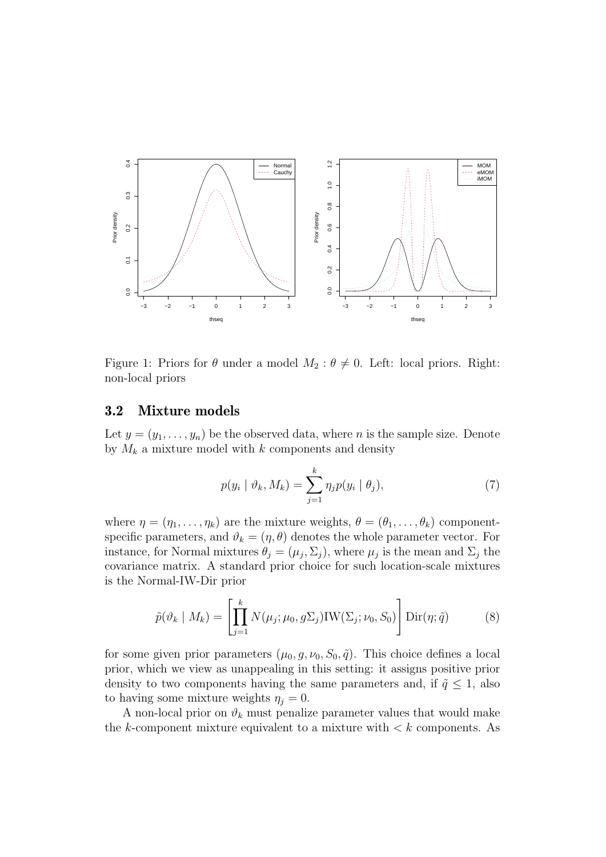

<span id="page-9-0"></span>Figure 1: Priors for  $\theta$  under a model  $M_2$ :  $\theta \neq 0$ . Left: local priors. Right: non-local priors

#### 3.2 Mixture models

Let  $y = (y_1, \ldots, y_n)$  be the observed data, where n is the sample size. Denote by  $M_k$  a mixture model with k components and density

<span id="page-9-1"></span>
$$
p(y_i \mid \vartheta_k, M_k) = \sum_{j=1}^k \eta_j p(y_i \mid \theta_j), \qquad (7)
$$

where  $\eta = (\eta_1, \ldots, \eta_k)$  are the mixture weights,  $\theta = (\theta_1, \ldots, \theta_k)$  componentspecific parameters, and  $\vartheta_k = (\eta, \theta)$  denotes the whole parameter vector. For instance, for Normal mixtures  $\theta_j = (\mu_j, \Sigma_j)$ , where  $\mu_j$  is the mean and  $\Sigma_j$  the covariance matrix. A standard prior choice for such location-scale mixtures is the Normal-IW-Dir prior

$$
\tilde{p}(\vartheta_k \mid M_k) = \left[ \prod_{j=1}^k N(\mu_j; \mu_0, g\Sigma_j) \text{IW}(\Sigma_j; \nu_0, S_0) \right] \text{Dir}(\eta; \tilde{q}) \tag{8}
$$

for some given prior parameters  $(\mu_0, g, \nu_0, S_0, \tilde{q})$ . This choice defines a local prior, which we view as unappealing in this setting: it assigns positive prior density to two components having the same parameters and, if  $\tilde{q} \leq 1$ , also to having some mixture weights  $\eta_i = 0$ .

A non-local prior on  $\vartheta_k$  must penalize parameter values that would make the k-component mixture equivalent to a mixture with  $\lt k$  components. As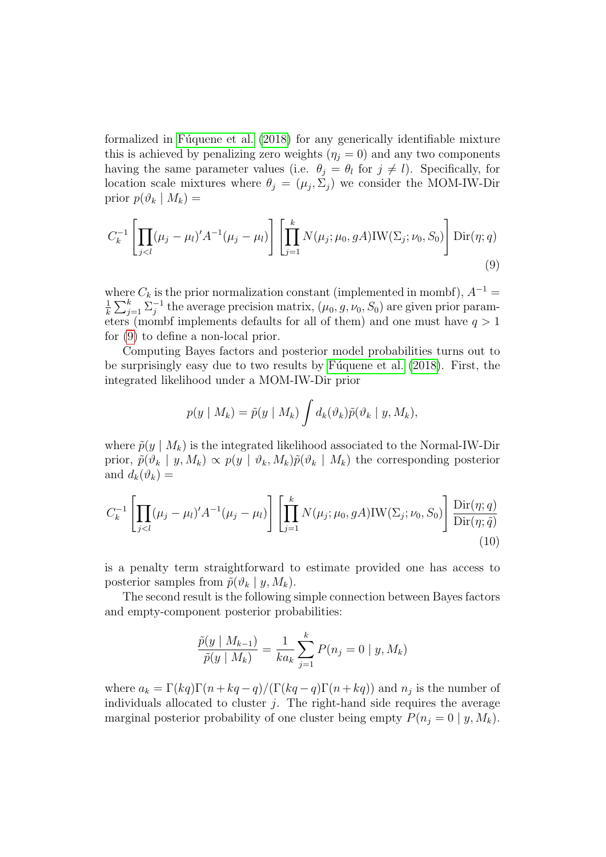formalized in Fúquene et al.  $(2018)$  for any generically identifiable mixture this is achieved by penalizing zero weights  $(\eta_i = 0)$  and any two components having the same parameter values (i.e.  $\theta_j = \theta_l$  for  $j \neq l$ ). Specifically, for location scale mixtures where  $\theta_j = (\mu_j, \Sigma_j)$  we consider the MOM-IW-Dir prior  $p(\vartheta_k | M_k) =$ 

$$
C_k^{-1} \left[ \prod_{j < l} (\mu_j - \mu_l)' A^{-1} (\mu_j - \mu_l) \right] \left[ \prod_{j=1}^k N(\mu_j; \mu_0, gA) \text{IW}(\Sigma_j; \nu_0, S_0) \right] \text{Dir}(\eta; q) \tag{9}
$$

where  $C_k$  is the prior normalization constant (implemented in mombf),  $A^{-1}$  = 1  $\frac{1}{k} \sum_{j=1}^k \sum_j^{-1}$  $j^{-1}$  the average precision matrix,  $(\mu_0, g, \nu_0, S_0)$  are given prior parameters (mombf implements defaults for all of them) and one must have  $q > 1$ for [\(9\)](#page-10-0) to define a non-local prior.

Computing Bayes factors and posterior model probabilities turns out to be surprisingly easy due to two results by Fuguene et al. (2018). First, the integrated likelihood under a MOM-IW-Dir prior

<span id="page-10-0"></span>
$$
p(y \mid M_k) = \tilde{p}(y \mid M_k) \int d_k(\vartheta_k) \tilde{p}(\vartheta_k \mid y, M_k),
$$

where  $\tilde{p}(y \mid M_k)$  is the integrated likelihood associated to the Normal-IW-Dir prior,  $\tilde{p}(\vartheta_k | y, M_k) \propto p(y | \vartheta_k, M_k) \tilde{p}(\vartheta_k | M_k)$  the corresponding posterior and  $d_k(\vartheta_k) =$ 

$$
C_k^{-1} \left[ \prod_{j < l} (\mu_j - \mu_l)' A^{-1} (\mu_j - \mu_l) \right] \left[ \prod_{j=1}^k N(\mu_j; \mu_0, gA) \text{IW}(\Sigma_j; \nu_0, S_0) \right] \frac{\text{Dir}(\eta; q)}{\text{Dir}(\eta; \tilde{q})} \tag{10}
$$

is a penalty term straightforward to estimate provided one has access to posterior samples from  $\tilde{p}(\vartheta_k | y, M_k)$ .

The second result is the following simple connection between Bayes factors and empty-component posterior probabilities:

<span id="page-10-1"></span>
$$
\frac{\tilde{p}(y \mid M_{k-1})}{\tilde{p}(y \mid M_k)} = \frac{1}{ka_k} \sum_{j=1}^k P(n_j = 0 \mid y, M_k)
$$

where  $a_k = \Gamma(kq)\Gamma(n+kq-q)/(\Gamma(kq-q)\Gamma(n+kq))$  and  $n_j$  is the number of individuals allocated to cluster  $j$ . The right-hand side requires the average marginal posterior probability of one cluster being empty  $P(n_i = 0 | y, M_k)$ .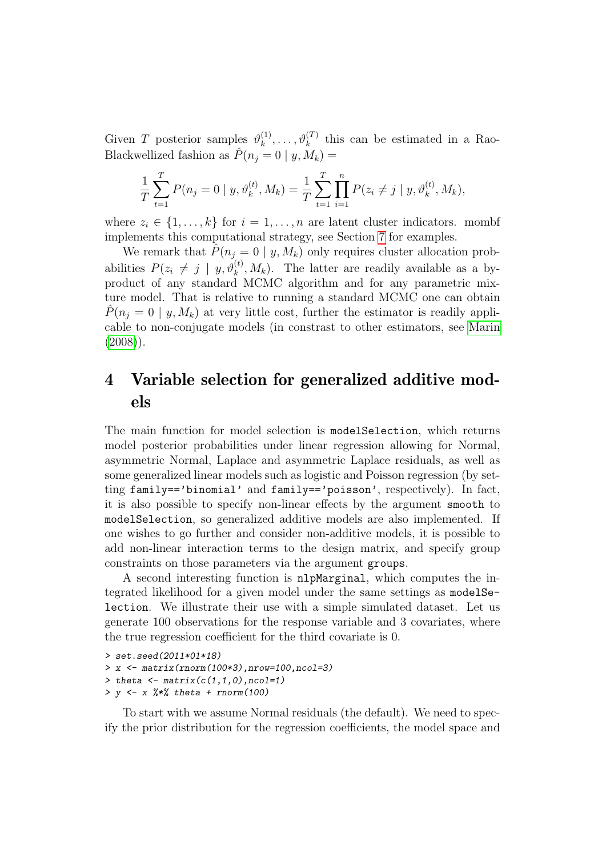Given T posterior samples  $\vartheta_k^{(1)}$  $\mathbf{R}_k^{(1)}, \ldots, \mathbf{\vartheta}_k^{(T)}$  this can be estimated in a Rao-Blackwellized fashion as  $\hat{P}(n_j = 0 | y, M_k) =$ 

$$
\frac{1}{T} \sum_{t=1}^{T} P(n_j = 0 \mid y, \vartheta_k^{(t)}, M_k) = \frac{1}{T} \sum_{t=1}^{T} \prod_{i=1}^{n} P(z_i \neq j \mid y, \vartheta_k^{(t)}, M_k),
$$

where  $z_i \in \{1, \ldots, k\}$  for  $i = 1, \ldots, n$  are latent cluster indicators. mombf implements this computational strategy, see Section [7](#page-22-0) for examples.

We remark that  $\hat{P}(n_j = 0 \mid y, M_k)$  only requires cluster allocation probabilities  $P(z_i \neq j \mid y, \vartheta_k^{(t)}, M_k)$ . The latter are readily available as a byproduct of any standard MCMC algorithm and for any parametric mixture model. That is relative to running a standard MCMC one can obtain  $P(n_i = 0 \mid y, M_k)$  at very little cost, further the estimator is readily applicable to non-conjugate models (in constrast to other estimators, see [Marin](#page-26-9)  $(2008)$ .

# 4 Variable selection for generalized additive models

The main function for model selection is modelSelection, which returns model posterior probabilities under linear regression allowing for Normal, asymmetric Normal, Laplace and asymmetric Laplace residuals, as well as some generalized linear models such as logistic and Poisson regression (by setting family=='binomial' and family=='poisson', respectively). In fact, it is also possible to specify non-linear effects by the argument smooth to modelSelection, so generalized additive models are also implemented. If one wishes to go further and consider non-additive models, it is possible to add non-linear interaction terms to the design matrix, and specify group constraints on those parameters via the argument groups.

A second interesting function is nlpMarginal, which computes the integrated likelihood for a given model under the same settings as modelSelection. We illustrate their use with a simple simulated dataset. Let us generate 100 observations for the response variable and 3 covariates, where the true regression coefficient for the third covariate is 0.

```
> set.seed(2011*01*18)
> x <- matrix(rnorm(100*3),nrow=100,ncol=3)
> theta \leftarrow matrix(c(1,1,0),ncol=1)
> y \le x \frac{9*}{6} theta + rnorm(100)
```
To start with we assume Normal residuals (the default). We need to specify the prior distribution for the regression coefficients, the model space and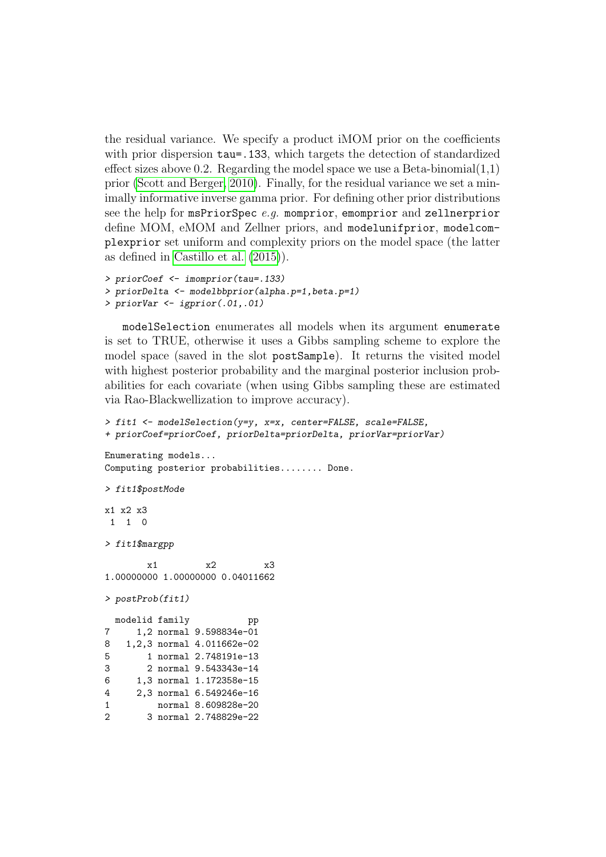the residual variance. We specify a product iMOM prior on the coefficients with prior dispersion  $tau=133$ , which targets the detection of standardized effect sizes above 0.2. Regarding the model space we use a Beta-binomial  $(1,1)$ prior [\(Scott and Berger, 2010\)](#page-26-10). Finally, for the residual variance we set a minimally informative inverse gamma prior. For defining other prior distributions see the help for msPriorSpec  $e.g.$  momprior, emomprior and zellnerprior define MOM, eMOM and Zellner priors, and modelunifprior, modelcomplexprior set uniform and complexity priors on the model space (the latter as defined in [Castillo et al. \(2015\)](#page-25-4)).

```
> priorCoef <- imomprior(tau=.133)
> priorDelta <- modelbbprior(alpha.p=1,beta.p=1)
> priorVar <- igprior(.01,.01)
```
modelSelection enumerates all models when its argument enumerate is set to TRUE, otherwise it uses a Gibbs sampling scheme to explore the model space (saved in the slot postSample). It returns the visited model with highest posterior probability and the marginal posterior inclusion probabilities for each covariate (when using Gibbs sampling these are estimated via Rao-Blackwellization to improve accuracy).

```
> fit1 <- modelSelection(y=y, x=x, center=FALSE, scale=FALSE,
+ priorCoef=priorCoef, priorDelta=priorDelta, priorVar=priorVar)
Enumerating models...
Computing posterior probabilities........ Done.
> fit1$postMode
x1 x2 x3
1 1 0
> fit1$margpp
       x1 x2 x3
1.00000000 1.00000000 0.04011662
> postProb(fit1)
 modelid family pp
7 1,2 normal 9.598834e-01
8 1,2,3 normal 4.011662e-02
5 1 normal 2.748191e-13
3 2 normal 9.543343e-14
6 1,3 normal 1.172358e-15
4 2,3 normal 6.549246e-16
1 normal 8.609828e-20
```

```
2 3 normal 2.748829e-22
```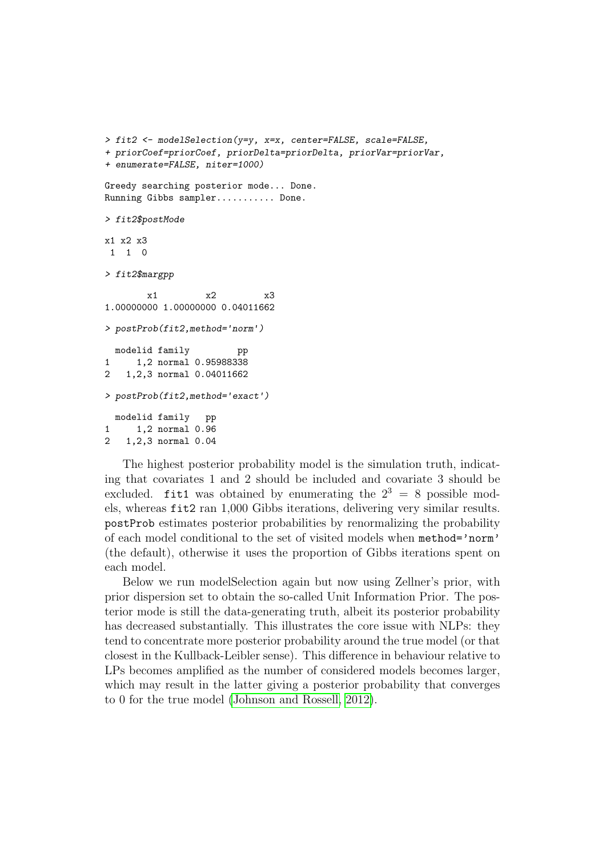```
> fit2 <- modelSelection(y=y, x=x, center=FALSE, scale=FALSE,
+ priorCoef=priorCoef, priorDelta=priorDelta, priorVar=priorVar,
+ enumerate=FALSE, niter=1000)
Greedy searching posterior mode... Done.
Running Gibbs sampler........... Done.
> fit2$postMode
x1 x2 x3
 1 1 0
> fit2$margpp
        x1 x2 x3
1.00000000 1.00000000 0.04011662
> postProb(fit2,method='norm')
 modelid family pp
1 1,2 normal 0.95988338
2 1,2,3 normal 0.04011662
> postProb(fit2,method='exact')
  modelid family pp
1 1,2 normal 0.96
```

```
2 1,2,3 normal 0.04
```
The highest posterior probability model is the simulation truth, indicating that covariates 1 and 2 should be included and covariate 3 should be excluded. fit1 was obtained by enumerating the  $2^3 = 8$  possible models, whereas fit2 ran 1,000 Gibbs iterations, delivering very similar results. postProb estimates posterior probabilities by renormalizing the probability of each model conditional to the set of visited models when method='norm' (the default), otherwise it uses the proportion of Gibbs iterations spent on each model.

Below we run modelSelection again but now using Zellner's prior, with prior dispersion set to obtain the so-called Unit Information Prior. The posterior mode is still the data-generating truth, albeit its posterior probability has decreased substantially. This illustrates the core issue with NLPs: they tend to concentrate more posterior probability around the true model (or that closest in the Kullback-Leibler sense). This difference in behaviour relative to LPs becomes amplified as the number of considered models becomes larger, which may result in the latter giving a posterior probability that converges to 0 for the true model [\(Johnson and Rossell, 2012\)](#page-26-1).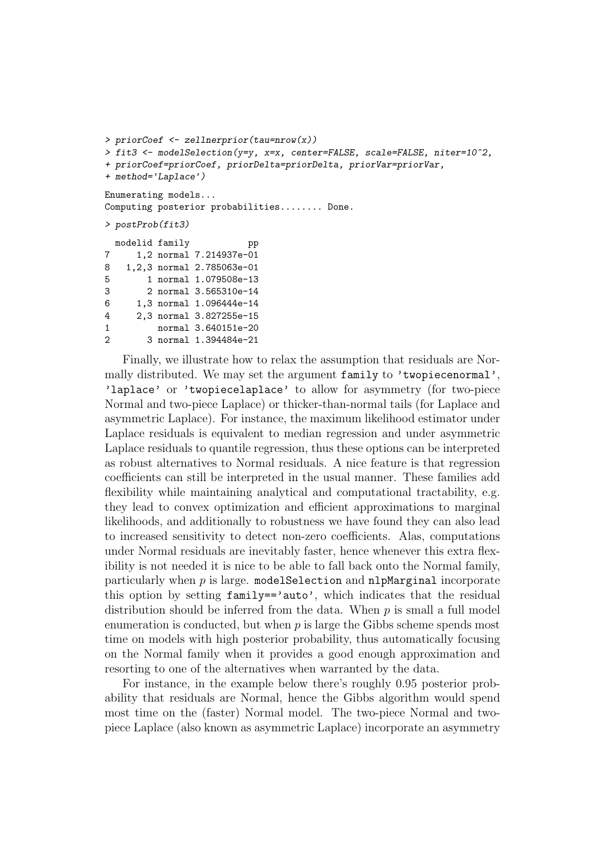```
> priorCoef <- zellnerprior(tau=nrow(x))
> fit3 <- modelSelection(y=y, x=x, center=FALSE, scale=FALSE, niter=10^2,
+ priorCoef=priorCoef, priorDelta=priorDelta, priorVar=priorVar,
+ method='Laplace')
Enumerating models...
Computing posterior probabilities........ Done.
> postProb(fit3)
  modelid family bp
7 1,2 normal 7.214937e-01
8 1,2,3 normal 2.785063e-01
5 1 normal 1.079508e-13
3 2 normal 3.565310e-14
6 1,3 normal 1.096444e-14
4 2,3 normal 3.827255e-15
1 normal 3.640151e-20
2 3 normal 1.394484e-21
```
Finally, we illustrate how to relax the assumption that residuals are Normally distributed. We may set the argument family to 'twopiecenormal', 'laplace' or 'twopiecelaplace' to allow for asymmetry (for two-piece Normal and two-piece Laplace) or thicker-than-normal tails (for Laplace and asymmetric Laplace). For instance, the maximum likelihood estimator under Laplace residuals is equivalent to median regression and under asymmetric Laplace residuals to quantile regression, thus these options can be interpreted as robust alternatives to Normal residuals. A nice feature is that regression coefficients can still be interpreted in the usual manner. These families add flexibility while maintaining analytical and computational tractability, e.g. they lead to convex optimization and efficient approximations to marginal likelihoods, and additionally to robustness we have found they can also lead to increased sensitivity to detect non-zero coefficients. Alas, computations under Normal residuals are inevitably faster, hence whenever this extra flexibility is not needed it is nice to be able to fall back onto the Normal family, particularly when  $p$  is large. model Selection and nlpMarginal incorporate this option by setting family=='auto', which indicates that the residual distribution should be inferred from the data. When  $p$  is small a full model enumeration is conducted, but when  $p$  is large the Gibbs scheme spends most time on models with high posterior probability, thus automatically focusing on the Normal family when it provides a good enough approximation and resorting to one of the alternatives when warranted by the data.

For instance, in the example below there's roughly 0.95 posterior probability that residuals are Normal, hence the Gibbs algorithm would spend most time on the (faster) Normal model. The two-piece Normal and twopiece Laplace (also known as asymmetric Laplace) incorporate an asymmetry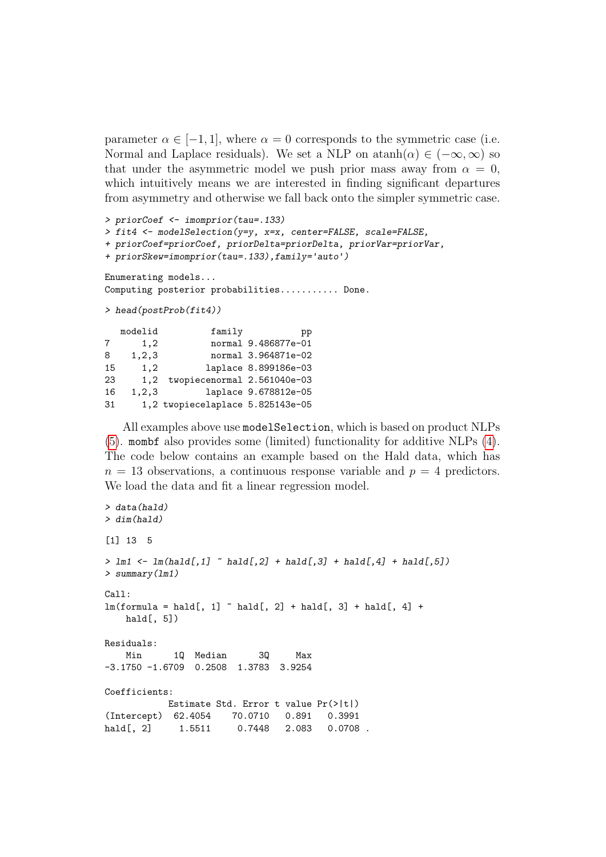parameter  $\alpha \in [-1, 1]$ , where  $\alpha = 0$  corresponds to the symmetric case (i.e. Normal and Laplace residuals). We set a NLP on  $\text{atanh}(\alpha) \in (-\infty, \infty)$  so that under the asymmetric model we push prior mass away from  $\alpha = 0$ , which intuitively means we are interested in finding significant departures from asymmetry and otherwise we fall back onto the simpler symmetric case.

```
> priorCoef <- imomprior(tau=.133)
> fit4 <- modelSelection(y=y, x=x, center=FALSE, scale=FALSE,
+ priorCoef=priorCoef, priorDelta=priorDelta, priorVar=priorVar,
+ priorSkew=imomprior(tau=.133),family='auto')
Enumerating models...
Computing posterior probabilities........... Done.
> head(postProb(fit4))
  modelid family pp
7 1,2 normal 9.486877e-01
8 1,2,3 normal 3.964871e-02
15 1,2 laplace 8.899186e-03
23 1,2 twopiecenormal 2.561040e-03
16 1,2,3 laplace 9.678812e-05
31 1,2 twopiecelaplace 5.825143e-05
```
All examples above use modelSelection, which is based on product NLPs [\(5\)](#page-7-0). mombf also provides some (limited) functionality for additive NLPs [\(4\)](#page-6-1). The code below contains an example based on the Hald data, which has  $n = 13$  observations, a continuous response variable and  $p = 4$  predictors. We load the data and fit a linear regression model.

```
> data(hald)
> dim(hald)
[1] 13 5
> \text{lm1} \leftarrow \text{lm(hald[,1]} \sim hald[,2] + hald[,3] + hald[,4] + hald[,5])
> summary(lm1)
Ca11:lm(formula = half, 1] \sim hald[, 2] + hald[, 3] + hald[, 4] +
   hald[, 5])
Residuals:
   Min 1Q Median 3Q Max
-3.1750 -1.6709 0.2508 1.3783 3.9254
Coefficients:
           Estimate Std. Error t value Pr(>|t|)
(Intercept) 62.4054 70.0710 0.891 0.3991
hald[, 2] 1.5511 0.7448 2.083 0.0708.
```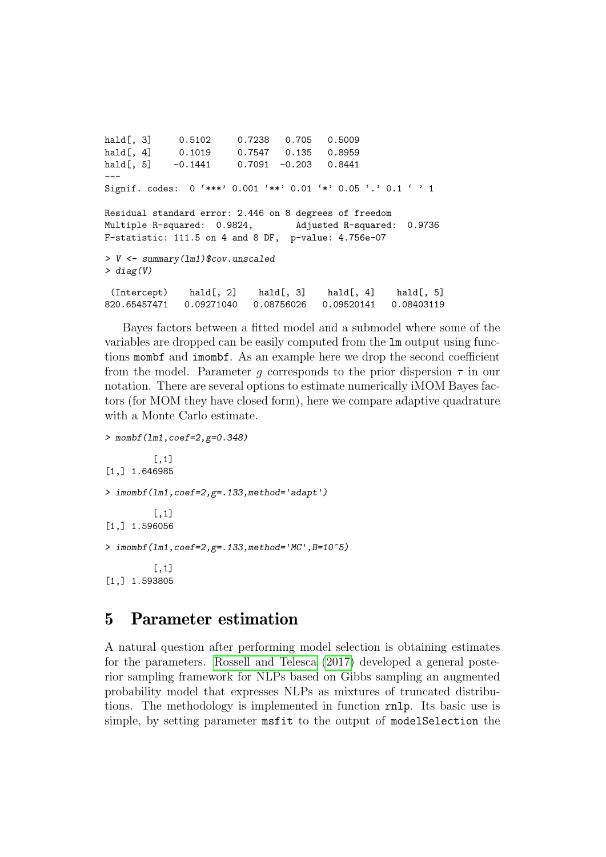```
hald[, 3] 0.5102 0.7238 0.705 0.5009
hald[, 4] 0.1019 0.7547 0.135 0.8959
hald[, 5] -0.1441 0.7091 -0.203 0.8441
---
Signif. codes: 0 '***' 0.001 '**' 0.01 '*' 0.05 '.' 0.1 ' ' 1
Residual standard error: 2.446 on 8 degrees of freedom
Multiple R-squared: 0.9824, Adjusted R-squared: 0.9736
F-statistic: 111.5 on 4 and 8 DF, p-value: 4.756e-07
> V <- summary(lm1)$cov.unscaled
> diag(V)
 (Intercept) hald[, 2] hald[, 3] hald[, 4] hald[, 5]
820.65457471 0.09271040 0.08756026 0.09520141 0.08403119
```
Bayes factors between a fitted model and a submodel where some of the variables are dropped can be easily computed from the lm output using functions mombf and imombf. As an example here we drop the second coefficient from the model. Parameter g corresponds to the prior dispersion  $\tau$  in our notation. There are several options to estimate numerically iMOM Bayes factors (for MOM they have closed form), here we compare adaptive quadrature with a Monte Carlo estimate.

```
> mombf(lm1,coef=2,g=0.348)
         [,1]
[1,] 1.646985
> imombf(lm1,coef=2,g=.133,method='adapt')
          \lceil, 1]
[1,] 1.596056
> imombf(lm1,coef=2,g=.133,method='MC',B=10^5)
         [,1]
[1,] 1.593805
```
### <span id="page-16-0"></span>5 Parameter estimation

A natural question after performing model selection is obtaining estimates for the parameters. [Rossell and Telesca \(2017\)](#page-26-2) developed a general posterior sampling framework for NLPs based on Gibbs sampling an augmented probability model that expresses NLPs as mixtures of truncated distributions. The methodology is implemented in function rnlp. Its basic use is simple, by setting parameter msfit to the output of modelSelection the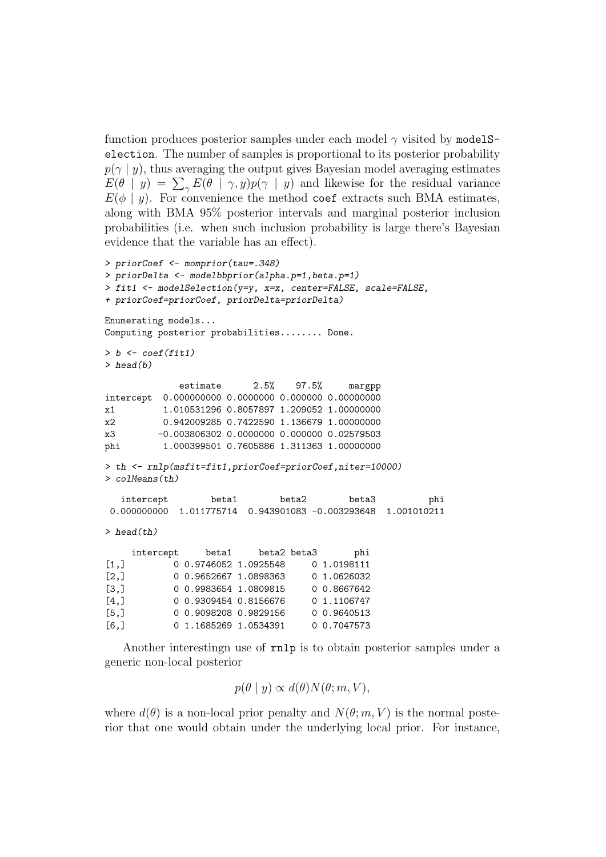function produces posterior samples under each model  $\gamma$  visited by model Selection. The number of samples is proportional to its posterior probability  $p(\gamma | y)$ , thus averaging the output gives Bayesian model averaging estimates  $E(\theta | y) = \sum_{\gamma} E(\theta | \gamma, y) p(\gamma | y)$  and likewise for the residual variance  $E(\phi \mid y)$ . For convenience the method coef extracts such BMA estimates, along with BMA 95% posterior intervals and marginal posterior inclusion probabilities (i.e. when such inclusion probability is large there's Bayesian evidence that the variable has an effect).

```
> priorCoef <- momprior(tau=.348)
> priorDelta <- modelbbprior(alpha.p=1,beta.p=1)
> fit1 <- modelSelection(y=y, x=x, center=FALSE, scale=FALSE,
+ priorCoef=priorCoef, priorDelta=priorDelta)
Enumerating models...
Computing posterior probabilities........ Done.
> b \leftarrow coef(fitt)> head(b)
            estimate 2.5% 97.5% margpp
intercept 0.000000000 0.0000000 0.000000 0.00000000
x1 1.010531296 0.8057897 1.209052 1.00000000
x2 0.942009285 0.7422590 1.136679 1.00000000
x3 -0.003806302 0.0000000 0.000000 0.02579503
phi 1.000399501 0.7605886 1.311363 1.00000000
> th <- rnlp(msfit=fit1,priorCoef=priorCoef,niter=10000)
> colMeans(th)
  intercept beta1 beta2 beta3 phi
 0.000000000 1.011775714 0.943901083 -0.003293648 1.001010211
> head(th)
    intercept beta1 beta2 beta3 phi
[1,] 0 0.9746052 1.0925548 0 1.0198111
[2,] 0 0.9652667 1.0898363 0 1.0626032
[3,] 0 0.9983654 1.0809815 0 0.8667642
[4,] 0 0.9309454 0.8156676 0 1.1106747
[5,] 0 0.9098208 0.9829156 0 0.9640513
[6,] 0 1.1685269 1.0534391 0 0.7047573
```
Another interestingn use of rnlp is to obtain posterior samples under a generic non-local posterior

$$
p(\theta \mid y) \propto d(\theta) N(\theta; m, V),
$$

where  $d(\theta)$  is a non-local prior penalty and  $N(\theta; m, V)$  is the normal posterior that one would obtain under the underlying local prior. For instance,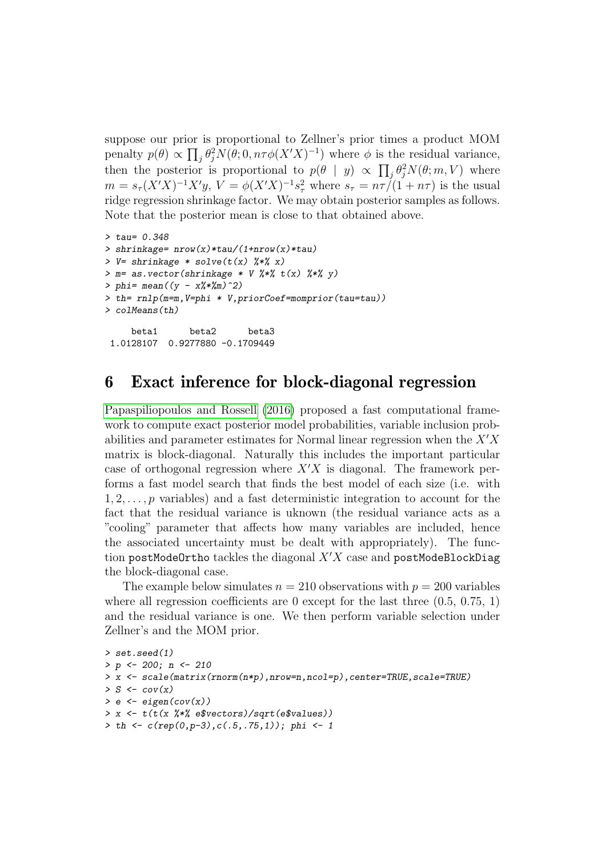suppose our prior is proportional to Zellner's prior times a product MOM penalty  $p(\theta) \propto \prod_j \theta_j^2 N(\theta; 0, n\tau \phi(X'X)^{-1})$  where  $\phi$  is the residual variance, then the posterior is proportional to  $p(\theta | y) \propto \prod_j \theta_j^2 N(\theta; m, V)$  where  $m = s_{\tau}(X'X)^{-1}X'y, V = \phi(X'X)^{-1}s_{\tau}^{2}$  where  $s_{\tau} = n\tau/(1+n\tau)$  is the usual ridge regression shrinkage factor. We may obtain posterior samples as follows. Note that the posterior mean is close to that obtained above.

```
> tau= 0.348
> shrinkage= nrow(x)*tau/(1+ncw(x)*tau)> V = shrinkage * solve(t(x) \frac{9}{7} *\frac{7}{8} x)
> m= as. vector(shrinkage * V % * % t(x) % * % y(x)> phi= mean((y - x\frac{1}{2} \cdot \frac{1}{2} \cdot m)^{-2})> th= rnlp(m=m,V=phi * V,priorCoef=momprior(tau=tau))
> colMeans(th)
     beta1 beta2 beta3
 1.0128107 0.9277880 -0.1709449
```
### <span id="page-18-0"></span>6 Exact inference for block-diagonal regression

[Papaspiliopoulos and Rossell \(2016\)](#page-26-3) proposed a fast computational framework to compute exact posterior model probabilities, variable inclusion probabilities and parameter estimates for Normal linear regression when the  $X'X$ matrix is block-diagonal. Naturally this includes the important particular case of orthogonal regression where  $X'X$  is diagonal. The framework performs a fast model search that finds the best model of each size (i.e. with  $1, 2, \ldots, p$  variables) and a fast deterministic integration to account for the fact that the residual variance is uknown (the residual variance acts as a "cooling" parameter that affects how many variables are included, hence the associated uncertainty must be dealt with appropriately). The function postModeOrtho tackles the diagonal  $X'X$  case and postModeBlockDiag the block-diagonal case.

The example below simulates  $n = 210$  observations with  $p = 200$  variables where all regression coefficients are 0 except for the last three  $(0.5, 0.75, 1)$ and the residual variance is one. We then perform variable selection under Zellner's and the MOM prior.

```
> set.seed(1)
> p \leftarrow 200; n \leftarrow 210> x <- scale(matrix(rnorm(n*p),nrow=n,ncol=p),center=TRUE,scale=TRUE)
> S \leq -\text{cov}(x)> e \le -eigen(cov(x))> x \leftarrow t(t(x \frac{1}{2} * \frac{1}{2} e) / sqrt(e)> th \leftarrow c(rep(0, p-3), c(.5, .75, 1)); phi \leftarrow 1
```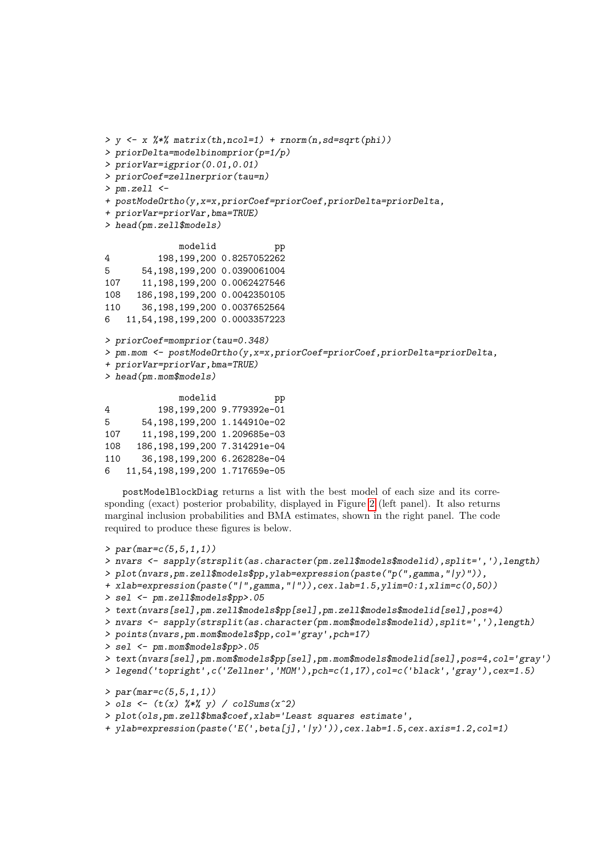> priorDelta=modelbinomprior(p=1/p) > priorVar=igprior(0.01,0.01) > priorCoef=zellnerprior(tau=n) > pm.zell <- + postModeOrtho(y,x=x,priorCoef=priorCoef,priorDelta=priorDelta, + priorVar=priorVar,bma=TRUE) > head(pm.zell\$models) modelid pp 4 198,199,200 0.8257052262 5 54,198,199,200 0.0390061004 107 11,198,199,200 0.0062427546 108 186,198,199,200 0.0042350105 110 36,198,199,200 0.0037652564 6 11,54,198,199,200 0.0003357223 > priorCoef=momprior(tau=0.348) > pm.mom <- postModeOrtho(y,x=x,priorCoef=priorCoef,priorDelta=priorDelta, + priorVar=priorVar,bma=TRUE)

 $> y \leq x \frac{1}{2}$   $\frac{1}{2}$  matrix(th,ncol=1) + rnorm(n,sd=sqrt(phi))

> head(pm.mom\$models)

|     | modelid                         | pp                       |
|-----|---------------------------------|--------------------------|
| 4   |                                 | 198,199,200 9.779392e-01 |
| 5.  | 54, 198, 199, 200 1.144910e-02  |                          |
| 107 | 11,198,199,200 1.209685e-03     |                          |
| 108 | 186, 198, 199, 200 7.314291e-04 |                          |
| 110 | 36,198,199,200 6.262828e-04     |                          |
| 6   | 11,54,198,199,200 1.717659e-05  |                          |

postModelBlockDiag returns a list with the best model of each size and its corresponding (exact) posterior probability, displayed in Figure [2](#page-20-0) (left panel). It also returns marginal inclusion probabilities and BMA estimates, shown in the right panel. The code required to produce these figures is below.

```
> par(mar=c(5,5,1,1))
> nvars <- sapply(strsplit(as.character(pm.zell$models$modelid),split=','),length)
> plot(nvars,pm.zell$models$pp,ylab=expression(paste("p(",gamma,"|y)")),
+ xlab=expression(paste("|",gamma,"|")),cex.lab=1.5,ylim=0:1,xlim=c(0,50))
> sel <- pm.zell$models$pp>.05
> text(nvars[sel],pm.zell$models$pp[sel],pm.zell$models$modelid[sel],pos=4)
> nvars <- sapply(strsplit(as.character(pm.mom$models$modelid),split=','),length)
> points(nvars,pm.mom$models$pp,col='gray',pch=17)
> sel <- pm.mom$models$pp>.05
> text(nvars[sel],pm.mom$models$pp[sel],pm.mom$models$modelid[sel],pos=4,col='gray')
> legend('topright',c('Zellner','MOM'),pch=c(1,17),col=c('black','gray'),cex=1.5)
> par(max=c(5,5,1,1))> ols <- (t(x) %*% y) / co1Sums(x^2)> plot(ols,pm.zell$bma$coef,xlab='Least squares estimate',
+ ylab=expression(paste('E(',beta[j],'|y)')),cex.lab=1.5,cex.axis=1.2,col=1)
```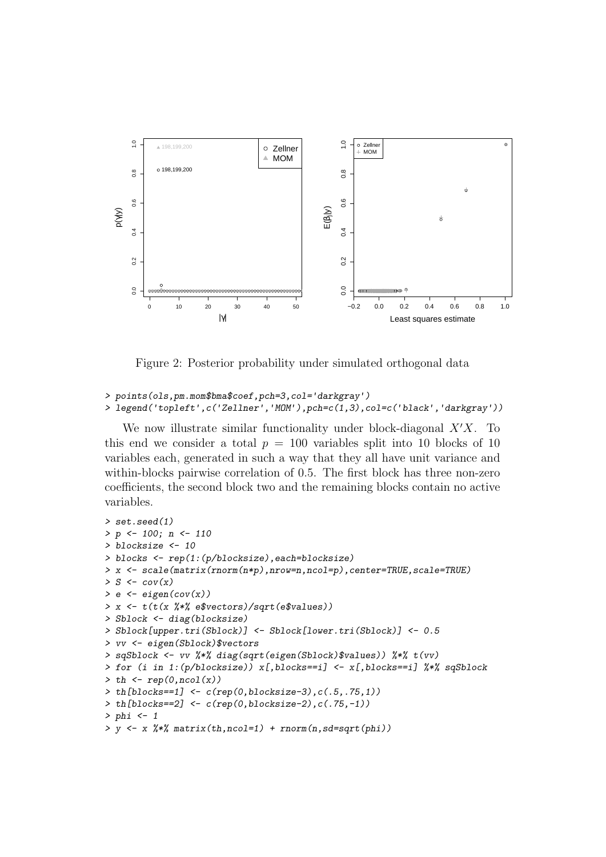

<span id="page-20-0"></span>Figure 2: Posterior probability under simulated orthogonal data

> points(ols,pm.mom\$bma\$coef,pch=3,col='darkgray') > legend('topleft',c('Zellner','MOM'),pch=c(1,3),col=c('black','darkgray'))

We now illustrate similar functionality under block-diagonal  $X'X$ . To this end we consider a total  $p = 100$  variables split into 10 blocks of 10 variables each, generated in such a way that they all have unit variance and within-blocks pairwise correlation of 0.5. The first block has three non-zero coefficients, the second block two and the remaining blocks contain no active variables.

```
> set.seed(1)
> p \le -100; n \le -110> blocksize <- 10
> blocks <- rep(1:(p/blocksize),each=blocksize)
> x <- scale(matrix(rnorm(n*p),nrow=n,ncol=p),center=TRUE,scale=TRUE)
> S \leftarrow cov(x)> e \leftarrow eigen(cov(x))> x <- t(t(x %*% e$vectors)/sqrt(e$values))
> Sblock <- diag(blocksize)
> Sblock[upper.tri(Sblock)] <- Sblock[lower.tri(Sblock)] <- 0.5
> vv <- eigen(Sblock)$vectors
> sqSblock <- vv %*% diag(sqrt(eigen(Sblock)$values)) %*% t(vv)
> for (i in 1:(p/blocksize)) x[,blocks==i] <- x[,blocks==i] %*% sqSblock
> th < - rep(0, ncol(x))> th[blocks==1] <- c(rep(0,blocksize-3),c(.5,.75,1))
> th[blocks==2] < c(rep(0,blocksize-2),c(.75,-1))> phi <- 1
> y \leftarrow x %*% matrix(th,ncol=1) + rnorm(n,sd=sqrt(phi))
```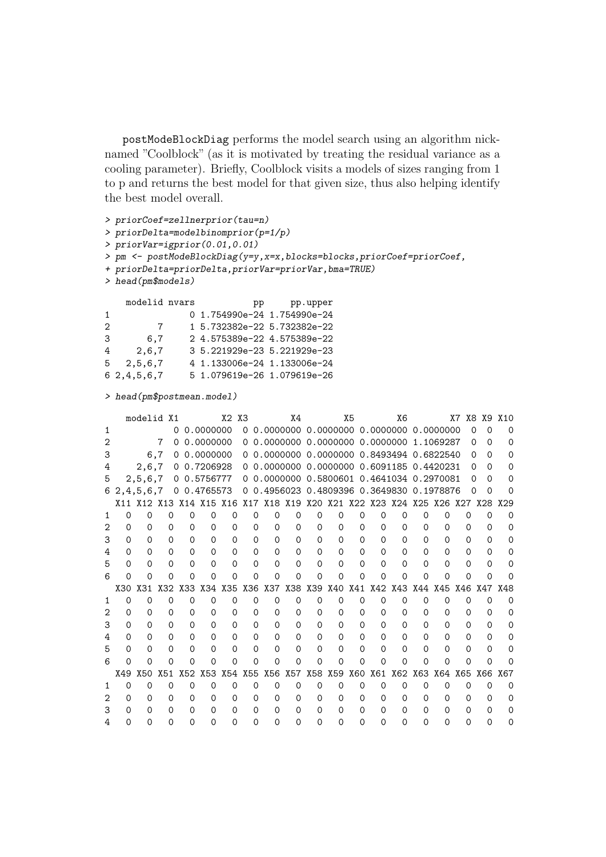postModeBlockDiag performs the model search using an algorithm nicknamed "Coolblock" (as it is motivated by treating the residual variance as a cooling parameter). Briefly, Coolblock visits a models of sizes ranging from 1 to p and returns the best model for that given size, thus also helping identify the best model overall.

```
> priorCoef=zellnerprior(tau=n)
> priorDelta=modelbinomprior(p=1/p)
> priorVar=igprior(0.01,0.01)
> pm <- postModeBlockDiag(y=y,x=x,blocks=blocks,priorCoef=priorCoef,
+ priorDelta=priorDelta,priorVar=priorVar,bma=TRUE)
> head(pm$models)
   modelid nvars bp pp.upper
1 0 1.754990e-24 1.754990e-24
2 7 1 5.732382e-22 5.732382e-22
3 6,7 2 4.575389e-22 4.575389e-22
4 2,6,7 3 5.221929e-23 5.221929e-23
5 2,5,6,7 4 1.133006e-24 1.133006e-24
6 2,4,5,6,7 5 1.079619e-26 1.079619e-26
```

```
> head(pm$postmean.model)
```

|   |          | modelid X1          |          |          |             | X2         | X <sub>3</sub> |                                           | Χ4          |            |          | X5       |                         | X6       |          |          | X7       | X8 X9 X10            |          |
|---|----------|---------------------|----------|----------|-------------|------------|----------------|-------------------------------------------|-------------|------------|----------|----------|-------------------------|----------|----------|----------|----------|----------------------|----------|
|   |          |                     |          | 0        | 0.0000000   |            |                |                                           |             |            |          |          |                         |          |          |          |          | ი<br>∩               |          |
|   |          |                     | 7        | 0        | 0.0000000   |            |                | 0 0.0000000 0.0000000 0.0000000 1.1069287 |             |            |          |          |                         |          |          |          |          | $\Omega$<br>$\Omega$ | ∩        |
|   |          |                     | 6,7      | $\Omega$ | 0.0000000   |            |                | 0 0.0000000 0.0000000 0.8493494 0.6822540 |             |            |          |          |                         |          |          |          |          | 0<br>$\Omega$        |          |
|   |          | 2,6,7               |          |          | 0 0.7206928 |            |                | 0 0.0000000 0.0000000 0.6091185 0.4420231 |             |            |          |          |                         |          |          |          |          | 0<br>$\Omega$        |          |
| 5 |          | 2,5,6,7             |          |          | 0 0.5756777 |            |                | 0 0.0000000 0.5800601 0.4641034 0.2970081 |             |            |          |          |                         |          |          |          |          | $\Omega$<br>$\Omega$ |          |
| 6 |          | 2, 4, 5, 6, 7       |          |          | 0 0.4765573 |            |                | 0 0.4956023 0.4809396 0.3649830 0.1978876 |             |            |          |          |                         |          |          |          | $\Omega$ | ∩                    |          |
|   |          | X11 X12 X13 X14 X15 |          |          |             | X16        | X17            |                                           | X18 X19 X20 |            |          |          | X21 X22 X23 X24 X25 X26 |          |          |          | X27      | X28                  | X29      |
|   |          | Ω                   | 0        | $\Omega$ | 0           | 0          | $\Omega$       | 0                                         | $\Omega$    | 0          | Ω        | 0        | ი                       | $\Omega$ | 0        | Ω        | 0        | ∩                    |          |
|   | 0        | 0                   | $\Omega$ | 0        | $\Omega$    | $\Omega$   | $\Omega$       | $\Omega$                                  | $\Omega$    | $\Omega$   | $\Omega$ | $\Omega$ | $\Omega$                | $\Omega$ | $\Omega$ | 0        | $\Omega$ | $\Omega$             | ∩        |
| З | 0        | 0                   | 0        | $\Omega$ | $\Omega$    | $\Omega$   | $\Omega$       | 0                                         | $\Omega$    | $\Omega$   | 0        | $\Omega$ | 0                       | 0        | 0        | 0        | ი        | $\Omega$             |          |
|   | 0        | 0                   | 0        | $\Omega$ | 0           | $\Omega$   | $\Omega$       | $\Omega$                                  | $\Omega$    | $\Omega$   | 0        | $\Omega$ | 0                       | 0        | 0        | $\Omega$ | $\Omega$ | ∩                    |          |
| 5 | 0        |                     | 0        | Ω        | $\Omega$    | $\Omega$   | $\Omega$       | $\Omega$                                  | $\Omega$    | $\Omega$   | 0        | $\Omega$ | ი                       | $\Omega$ | 0        | Ω        | ი        | 0                    |          |
| 6 | ∩        | ∩                   | 0        | Ω        | 0           | 0          | ∩              | 0                                         | 0           | ∩          | Ω        | 0        | Ω                       | 0        | 0        | 0        | Ω        | ∩                    |          |
|   | X30      | X31                 | X32      | X33      | X34         | X35        | X36            | X37                                       | X38         | <b>X39</b> | X40      | X41      | X42                     | X43      | X44      | X45      | X46      | X47                  | X48      |
|   | Ω        | Ω                   | 0        | $\Omega$ | 0           | Ω          | $\Omega$       | Ω                                         | 0           | Ω          | 0        | $\Omega$ | $\Omega$                | $\Omega$ | $\Omega$ | 0        | 0        | ∩                    | $\Omega$ |
|   | 0        | 0                   | $\Omega$ | $\Omega$ | $\Omega$    | $\Omega$   | $\Omega$       | $\Omega$                                  | $\Omega$    | $\Omega$   | 0        | $\Omega$ | 0                       | $\Omega$ | $\Omega$ | $\Omega$ | $\Omega$ | $\Omega$             |          |
| 3 | 0        | 0                   | 0        | $\Omega$ | $\Omega$    | $\Omega$   | $\Omega$       | $\Omega$                                  | $\Omega$    | $\Omega$   | 0        | $\Omega$ | 0                       | $\Omega$ | 0        | $\Omega$ | $\Omega$ | $\Omega$             |          |
|   | 0        | 0                   | 0        | $\Omega$ | $\Omega$    | $\Omega$   | $\Omega$       | $\Omega$                                  | $\Omega$    | $\Omega$   | 0        | $\Omega$ | 0                       | 0        | 0        | $\Omega$ | Ω        | $\Omega$             | Ω        |
| 5 | O        | Ω                   | O        | Ω        | Ω           | 0          | $\Omega$       | Ω                                         | $\Omega$    | 0          | 0        | Ω        | ი                       | Ω        | ი        | Ω        | ი        | $\Omega$             |          |
|   | ∩        | ∩                   | 0        | ∩        | Ω           | Ω          | ∩              | ი                                         | ∩           | ∩          | ∩        | ∩        | ∩                       | 0        | Ω        | Ω        | ∩        | ∩                    |          |
|   | X49      | X50                 | X51      | X52      | X53         | <b>X54</b> | <b>X55</b>     | X56                                       | X57         | <b>X58</b> | X59      | X60      | X61                     | X62      | X63      | X64      | X65      | X66                  | X67      |
|   | $\Omega$ | Ω                   | 0        | $\Omega$ | 0           | 0          | $\Omega$       | $\Omega$                                  | 0           | Ω          | 0        | $\Omega$ | $\Omega$                | $\Omega$ | $\Omega$ | 0        | $\Omega$ | $\Omega$             | Ω        |
|   | O        | Ω                   | 0        | $\Omega$ | 0           | 0          | $\Omega$       | 0                                         | $\Omega$    | $\Omega$   | 0        | $\Omega$ | Ω                       | $\Omega$ | 0        | $\Omega$ | $\Omega$ | $\Omega$             |          |
|   | Ω        | $\mathbf{\Omega}$   | $\Omega$ | ∩        | 0           | 0          | ∩              | 0                                         | $\Omega$    | $\Omega$   | 0        | 0        | Ω                       | O        | ი        | 0        | 0        | ∩                    |          |
|   | ი        |                     | ი        | ∩        | Ω           | ი          | 0              | ი                                         | 0           | $\Omega$   | ∩        | ი        | ი                       | ი        | ი        | Ω        | ი        | 0                    |          |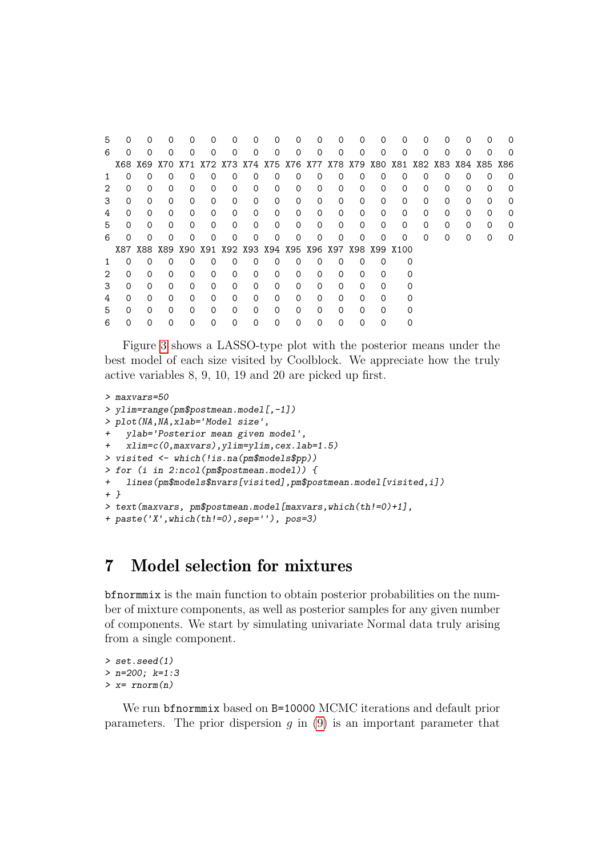| 5  |          | $\Omega$                                                                    | 0        | 0        | 0        | 0        | $\Omega$ | $\Omega$          | 0        | $\Omega$ | O)       | Ω        |          |          | 0        | 0        | 0        | O        |   |
|----|----------|-----------------------------------------------------------------------------|----------|----------|----------|----------|----------|-------------------|----------|----------|----------|----------|----------|----------|----------|----------|----------|----------|---|
| 6  | $\Omega$ | $\Omega$                                                                    | $\Omega$ | $\Omega$ | $\Omega$ | 0        | $\Omega$ | $\Omega$          | $\Omega$ | $\Omega$ | Ω        | 0        | $\Omega$ | $\Omega$ | $\Omega$ | $\Omega$ | 0        | $\Omega$ |   |
|    |          | X68 X69 X70 X71 X72 X73 X74 X75 X76 X77 X78 X79 X80 X81 X82 X83 X84 X85 X86 |          |          |          |          |          |                   |          |          |          |          |          |          |          |          |          |          |   |
|    | Ω        | 0                                                                           | 0        | 0        | 0        | 0        | ∩        | 0                 | 0        | ∩        | Ω        | 0        | 0        | $\Omega$ | 0        | $\Omega$ | $\Omega$ | $\Omega$ | O |
|    | ი        | $\Omega$                                                                    | $\Omega$ | 0        | 0        | 0        | $\Omega$ | 0                 | 0        | ∩        | 0        | $\Omega$ | 0        | $\Omega$ | $\Omega$ | $\Omega$ | $\Omega$ | 0        | O |
|    | $\Omega$ | $\Omega$                                                                    | $\Omega$ | 0        | 0        | $\Omega$ | $\Omega$ | $\Omega$          | 0        | $\Omega$ | Ω        | Ω        | 0        | $\Omega$ | 0        | $\Omega$ | $\Omega$ | 0        | 0 |
|    | 0        | $\Omega$                                                                    | 0        | $\Omega$ | 0        | 0        | $\Omega$ | $\Omega$          | 0        | $\Omega$ | $\Omega$ | $\Omega$ | $\Omega$ | $\Omega$ | 0        | $\Omega$ | $\Omega$ | $\Omega$ | Ω |
| b. | 0        | $\Omega$                                                                    | $\Omega$ | 0        | $\Omega$ | $\Omega$ | $\Omega$ | $\Omega$          | $\Omega$ | $\Omega$ | $\Omega$ | $\Omega$ | $\Omega$ | 0        | $\Omega$ | $\Omega$ | $\Omega$ | $\Omega$ | Ω |
| 6  | ∩        | $\Omega$                                                                    | $\Omega$ | ∩        | ი        | ∩        | ∩        | ∩                 | ∩        |          |          | ი        | ∩        | ∩        | $\Omega$ | $\Omega$ | ∩        | 0        | Ω |
|    |          | X87 X88 X89 X90 X91 X92 X93 X94 X95 X96 X97 X98 X99 X100                    |          |          |          |          |          |                   |          |          |          |          |          |          |          |          |          |          |   |
|    | O        | 0                                                                           | $\Omega$ | 0        | O        | O        | $\Omega$ | 0                 | 0        | $\Omega$ | O        | O        | 0        |          |          |          |          |          |   |
|    | $\Omega$ | $\Omega$                                                                    | $\Omega$ | $\Omega$ | 0        | 0        | $\Omega$ | $\Omega$          | 0        | ∩        | Ω        | Ω        | 0        |          |          |          |          |          |   |
| 3  | $\Omega$ | $\Omega$                                                                    | $\Omega$ | $\Omega$ | $\Omega$ | $\Omega$ | $\Omega$ | $\Omega$          | $\Omega$ | $\Omega$ | 0        | ∩        | ∩        |          |          |          |          |          |   |
| 4  | 0        | $\Omega$                                                                    | $\Omega$ | 0        | 0        | 0        | $\Omega$ | $\Omega$          | 0        | $\Omega$ | 0        | $\Omega$ | $\Omega$ |          |          |          |          |          |   |
| 5  | $\Omega$ | $\Omega$                                                                    | $\Omega$ | 0        | 0        | 0        | $\Omega$ | $\Omega$          | 0        | ∩        | Ω        | 0        | 0        |          |          |          |          |          |   |
| n  |          | $\mathbf{\Omega}$                                                           | 0        | Ω        | O)       | 0        |          | $\mathbf{\Omega}$ | Ω        |          |          |          |          |          |          |          |          |          |   |

Figure [3](#page-23-0) shows a LASSO-type plot with the posterior means under the best model of each size visited by Coolblock. We appreciate how the truly active variables 8, 9, 10, 19 and 20 are picked up first.

```
> maxvars=50
> ylim=range(pm$postmean.model[,-1])
> plot(NA,NA,xlab='Model size',
   + ylab='Posterior mean given model',
+ xlim=c(0,maxvars),ylim=ylim,cex.lab=1.5)
> visited <- which(!is.na(pm$models$pp))
> for (i in 2:ncol(pm$postmean.model)) {
+ lines(pm$models$nvars[visited],pm$postmean.model[visited,i])
+ }
> text(maxvars, pm$postmean.model[maxvars,which(th!=0)+1],
+ paste('X',which(th!=0),sep=''), pos=3)
```
## <span id="page-22-0"></span>7 Model selection for mixtures

bfnormmix is the main function to obtain posterior probabilities on the number of mixture components, as well as posterior samples for any given number of components. We start by simulating univariate Normal data truly arising from a single component.

```
> set.seed(1)
> n=200; k=1:3
> x= rnorm(n)
```
We run bfnormmix based on B=10000 MCMC iterations and default prior parameters. The prior dispersion q in  $(9)$  is an important parameter that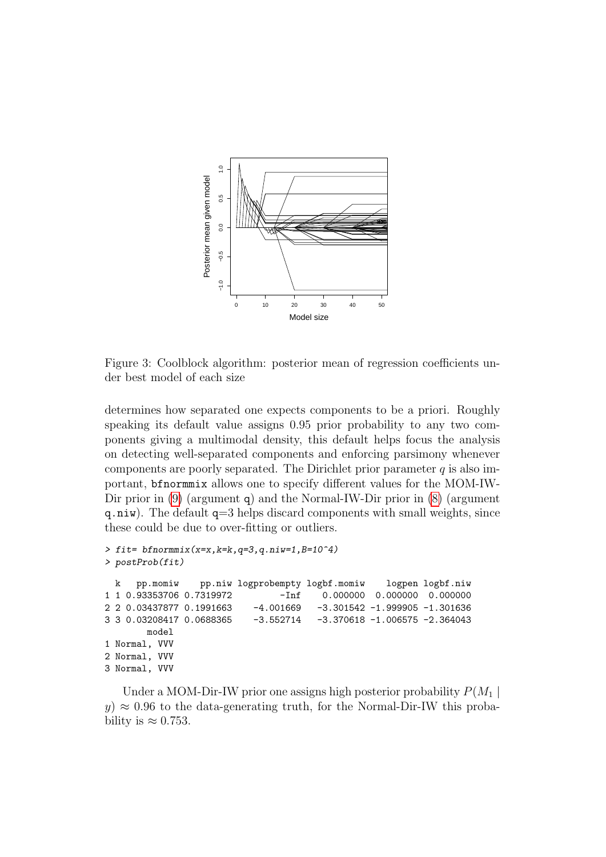

<span id="page-23-0"></span>Figure 3: Coolblock algorithm: posterior mean of regression coefficients under best model of each size

determines how separated one expects components to be a priori. Roughly speaking its default value assigns 0.95 prior probability to any two components giving a multimodal density, this default helps focus the analysis on detecting well-separated components and enforcing parsimony whenever components are poorly separated. The Dirichlet prior parameter  $q$  is also important, bfnormmix allows one to specify different values for the MOM-IW-Dir prior in [\(9\)](#page-10-0) (argument q) and the Normal-IW-Dir prior in [\(8\)](#page-9-1) (argument  $q.niw$ ). The default  $q=3$  helps discard components with small weights, since these could be due to over-fitting or outliers.

```
> fit= bfnormmix(x=x, k=k, q=3, q.niw=1, B=10^4)
> postProb(fit)
k pp.momiw pp.niw logprobempty logbf.momiw logpen logbf.niw
                               -Inf 0.000000 0.000000 0.000000
2 2 0.03437877 0.1991663 -4.001669 -3.301542 -1.999905 -1.301636
3 3 0.03208417 0.0688365 -3.552714 -3.370618 -1.006575 -2.364043
       model
1 Normal, VVV
2 Normal, VVV
3 Normal, VVV
```
Under a MOM-Dir-IW prior one assigns high posterior probability  $P(M_1 |$  $y \approx 0.96$  to the data-generating truth, for the Normal-Dir-IW this probability is  $\approx 0.753$ .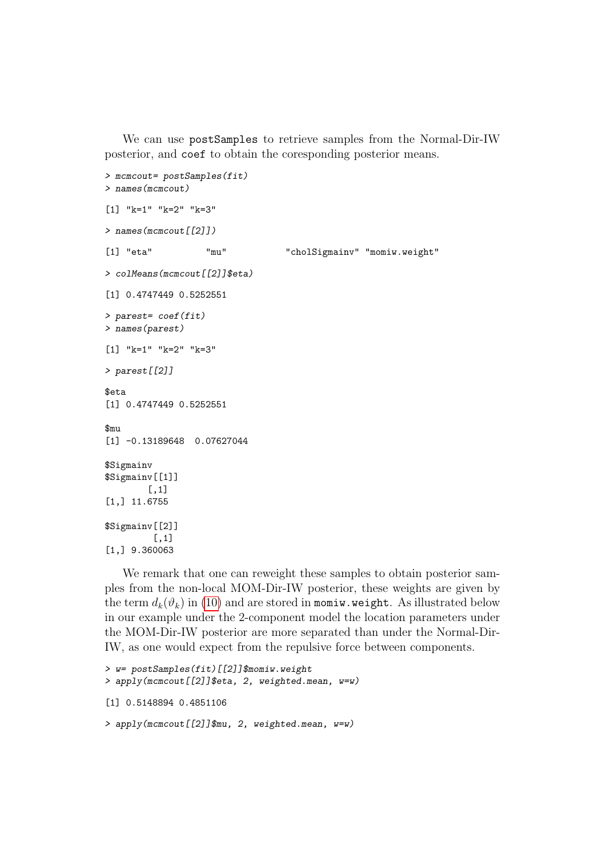We can use postSamples to retrieve samples from the Normal-Dir-IW posterior, and coef to obtain the coresponding posterior means.

```
> mcmcout= postSamples(fit)
> names(mcmcout)
[1] "k=1" "k=2" "k=3"
> names(mcmcout[[2]])
[1] "eta" "mu" "cholSigmainv" "momiw.weight"
> colMeans(mcmcout[[2]]$eta)
[1] 0.4747449 0.5252551
> parest= coef(fit)
> names(parest)
[1] "k=1" "k=2" "k=3"
> parest[[2]]
$eta
[1] 0.4747449 0.5252551
$<sub>min</sub>[1] -0.13189648 0.07627044
$Sigmainv
$Sigmainv[[1]]
        [,1]
[1,] 11.6755
$Sigmainv[[2]]
         \lceil, 1]
[1,] 9.360063
```
We remark that one can reweight these samples to obtain posterior samples from the non-local MOM-Dir-IW posterior, these weights are given by the term  $d_k(\vartheta_k)$  in [\(10\)](#page-10-1) and are stored in momiw.weight. As illustrated below in our example under the 2-component model the location parameters under the MOM-Dir-IW posterior are more separated than under the Normal-Dir-IW, as one would expect from the repulsive force between components.

```
> w= postSamples(fit)[[2]]$momiw.weight
> apply(mcmcout[[2]]$eta, 2, weighted.mean, w=w)
[1] 0.5148894 0.4851106
> apply(mcmcout[[2]]$mu, 2, weighted.mean, w=w)
```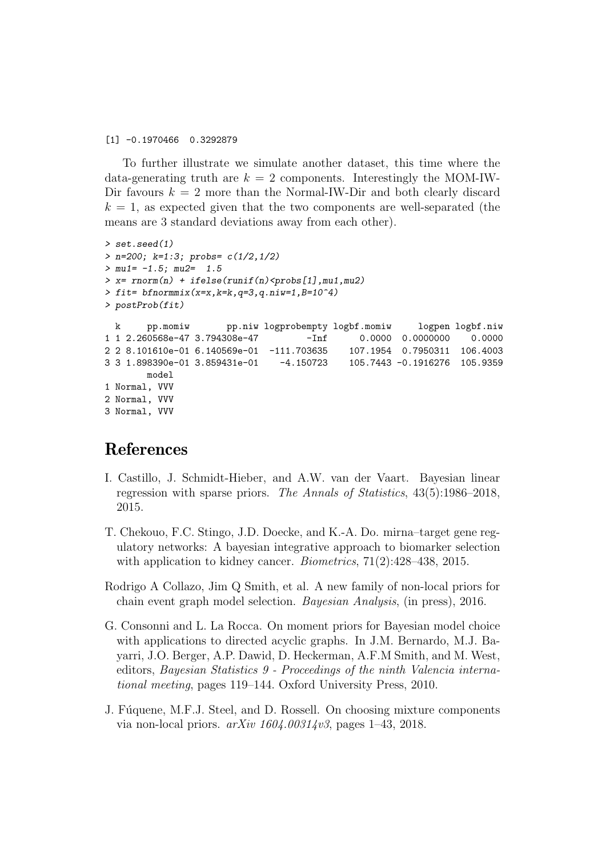[1] -0.1970466 0.3292879

To further illustrate we simulate another dataset, this time where the data-generating truth are  $k = 2$  components. Interestingly the MOM-IW-Dir favours  $k = 2$  more than the Normal-IW-Dir and both clearly discard  $k = 1$ , as expected given that the two components are well-separated (the means are 3 standard deviations away from each other).

```
> set.seed(1)
> n=200; k=1:3; probs= c(1/2,1/2)
> mu1= -1.5; mu2= 1.5
> x= rnorm(n) + ifelse(runif(n)<probs[1],mu1,mu2)> fit= bfnormmix(x=x,k=k,q=3,q.niw=1,B=10^4)
> postProb(fit)
 k pp.momiw pp.niw logprobempty logbf.momiw logpen logbf.niw
1 1 2.260568e-47 3.794308e-47 -Inf 0.0000 0.0000000 0.0000
2 2 8.101610e-01 6.140569e-01 -111.703635 107.1954 0.7950311 106.4003
3 3 1.898390e-01 3.859431e-01 -4.150723 105.7443 -0.1916276 105.9359
       model
1 Normal, VVV
2 Normal, VVV
3 Normal, VVV
```
### References

- <span id="page-25-4"></span>I. Castillo, J. Schmidt-Hieber, and A.W. van der Vaart. Bayesian linear regression with sparse priors. The Annals of Statistics, 43(5):1986–2018, 2015.
- <span id="page-25-2"></span>T. Chekouo, F.C. Stingo, J.D. Doecke, and K.-A. Do. mirna–target gene regulatory networks: A bayesian integrative approach to biomarker selection with application to kidney cancer. *Biometrics*,  $71(2):428-438$ , 2015.
- <span id="page-25-3"></span>Rodrigo A Collazo, Jim Q Smith, et al. A new family of non-local priors for chain event graph model selection. Bayesian Analysis, (in press), 2016.
- <span id="page-25-1"></span>G. Consonni and L. La Rocca. On moment priors for Bayesian model choice with applications to directed acyclic graphs. In J.M. Bernardo, M.J. Bayarri, J.O. Berger, A.P. Dawid, D. Heckerman, A.F.M Smith, and M. West, editors, Bayesian Statistics 9 - Proceedings of the ninth Valencia international meeting, pages 119–144. Oxford University Press, 2010.
- <span id="page-25-0"></span>J. Fúquene, M.F.J. Steel, and D. Rossell. On choosing mixture components via non-local priors.  $arXiv 1604.00314v3$ , pages 1–43, 2018.